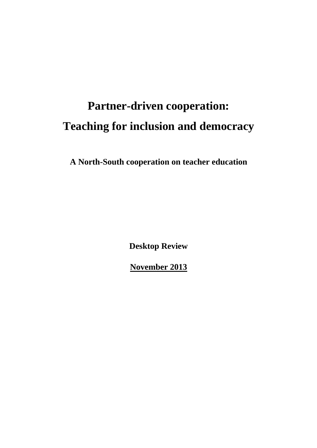# **Partner-driven cooperation: Teaching for inclusion and democracy**

**A North-South cooperation on teacher education** 

**Desktop Review** 

**November 2013**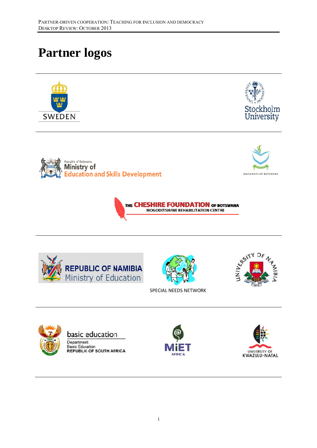# **Partner logos**















SPECIAL NEEDS NETWORK





basic education Department: **Basic Education REPUBLIC OF SOUTH AFRICA** 



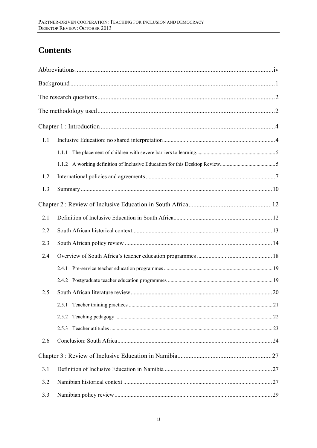# **Contents**

| 1.1 |       |  |  |  |
|-----|-------|--|--|--|
|     | 1.1.1 |  |  |  |
|     |       |  |  |  |
| 1.2 |       |  |  |  |
| 1.3 |       |  |  |  |
|     |       |  |  |  |
| 2.1 |       |  |  |  |
| 2.2 |       |  |  |  |
| 2.3 |       |  |  |  |
| 2.4 |       |  |  |  |
|     |       |  |  |  |
|     |       |  |  |  |
| 2.5 |       |  |  |  |
|     |       |  |  |  |
|     | 2.5.2 |  |  |  |
|     | 2.5.3 |  |  |  |
| 2.6 |       |  |  |  |
|     |       |  |  |  |
| 3.1 |       |  |  |  |
| 3.2 |       |  |  |  |
| 3.3 |       |  |  |  |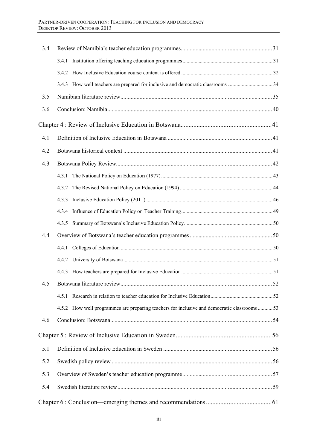| 3.4 |                                                                                            |  |  |  |  |
|-----|--------------------------------------------------------------------------------------------|--|--|--|--|
|     |                                                                                            |  |  |  |  |
|     |                                                                                            |  |  |  |  |
|     |                                                                                            |  |  |  |  |
| 3.5 |                                                                                            |  |  |  |  |
| 3.6 |                                                                                            |  |  |  |  |
|     |                                                                                            |  |  |  |  |
| 4.1 |                                                                                            |  |  |  |  |
| 4.2 |                                                                                            |  |  |  |  |
| 4.3 |                                                                                            |  |  |  |  |
|     | 4.3.1                                                                                      |  |  |  |  |
|     | 4.3.2                                                                                      |  |  |  |  |
|     | 4.3.3                                                                                      |  |  |  |  |
|     | 4.3.4                                                                                      |  |  |  |  |
|     | 4.3.5                                                                                      |  |  |  |  |
| 4.4 |                                                                                            |  |  |  |  |
|     | 4.4.1                                                                                      |  |  |  |  |
|     |                                                                                            |  |  |  |  |
|     | 4.4.3                                                                                      |  |  |  |  |
| 4.5 |                                                                                            |  |  |  |  |
|     |                                                                                            |  |  |  |  |
|     | 4.5.2 How well programmes are preparing teachers for inclusive and democratic classrooms53 |  |  |  |  |
| 4.6 |                                                                                            |  |  |  |  |
|     |                                                                                            |  |  |  |  |
| 5.1 |                                                                                            |  |  |  |  |
| 5.2 |                                                                                            |  |  |  |  |
| 5.3 |                                                                                            |  |  |  |  |
| 5.4 |                                                                                            |  |  |  |  |
|     |                                                                                            |  |  |  |  |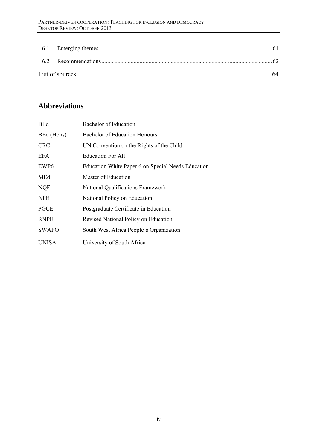# **Abbreviations**

| <b>BEd</b>       | Bachelor of Education                              |
|------------------|----------------------------------------------------|
| BEd (Hons)       | <b>Bachelor of Education Honours</b>               |
| <b>CRC</b>       | UN Convention on the Rights of the Child           |
| EFA              | <b>Education For All</b>                           |
| EWP <sub>6</sub> | Education White Paper 6 on Special Needs Education |
| MEd              | Master of Education                                |
| <b>NQF</b>       | <b>National Qualifications Framework</b>           |
| <b>NPE</b>       | National Policy on Education                       |
| PGCE             | Postgraduate Certificate in Education              |
| <b>RNPE</b>      | Revised National Policy on Education               |
| <b>SWAPO</b>     | South West Africa People's Organization            |
| <b>UNISA</b>     | University of South Africa                         |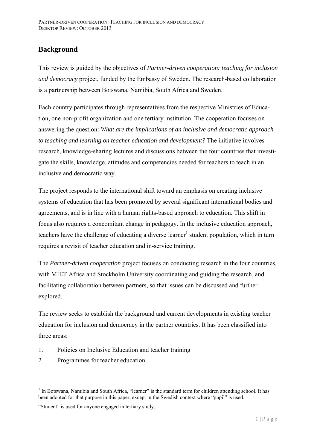# **Background**

This review is guided by the objectives of *Partner-driven cooperation: teaching for inclusion and democracy* project, funded by the Embassy of Sweden. The research-based collaboration is a partnership between Botswana, Namibia, South Africa and Sweden.

Each country participates through representatives from the respective Ministries of Education, one non-profit organization and one tertiary institution. The cooperation focuses on answering the question: *What are the implications of an inclusive and democratic approach to teaching and learning on teacher education and development?* The initiative involves research, knowledge-sharing lectures and discussions between the four countries that investigate the skills, knowledge, attitudes and competencies needed for teachers to teach in an inclusive and democratic way.

The project responds to the international shift toward an emphasis on creating inclusive systems of education that has been promoted by several significant international bodies and agreements, and is in line with a human rights-based approach to education. This shift in focus also requires a concomitant change in pedagogy. In the inclusive education approach, teachers have the challenge of educating a diverse learner<sup>1</sup> student population, which in turn requires a revisit of teacher education and in-service training.

The *Partner-driven cooperation* project focuses on conducting research in the four countries, with MIET Africa and Stockholm University coordinating and guiding the research, and facilitating collaboration between partners, so that issues can be discussed and further explored.

The review seeks to establish the background and current developments in existing teacher education for inclusion and democracy in the partner countries. It has been classified into three areas:

- 1. Policies on Inclusive Education and teacher training
- 2. Programmes for teacher education

 $\overline{a}$ 

<sup>&</sup>lt;sup>1</sup> In Botswana, Namibia and South Africa, "learner" is the standard term for children attending school. It has been adopted for that purpose in this paper, except in the Swedish context where "pupil" is used.

<sup>&</sup>quot;Student" is used for anyone engaged in tertiary study.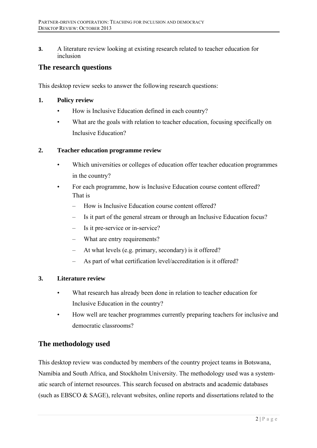**3.** A literature review looking at existing research related to teacher education for inclusion

# **The research questions**

This desktop review seeks to answer the following research questions:

### **1. Policy review**

- How is Inclusive Education defined in each country?
- What are the goals with relation to teacher education, focusing specifically on Inclusive Education?

### **2. Teacher education programme review**

- Which universities or colleges of education offer teacher education programmes in the country?
- For each programme, how is Inclusive Education course content offered? That is
	- How is Inclusive Education course content offered?
	- Is it part of the general stream or through an Inclusive Education focus?
	- Is it pre-service or in-service?
	- What are entry requirements?
	- At what levels (e.g. primary, secondary) is it offered?
	- As part of what certification level/accreditation is it offered?

### **3. Literature review**

- What research has already been done in relation to teacher education for Inclusive Education in the country?
- How well are teacher programmes currently preparing teachers for inclusive and democratic classrooms?

# **The methodology used**

This desktop review was conducted by members of the country project teams in Botswana, Namibia and South Africa, and Stockholm University. The methodology used was a systematic search of internet resources. This search focused on abstracts and academic databases (such as EBSCO & SAGE), relevant websites, online reports and dissertations related to the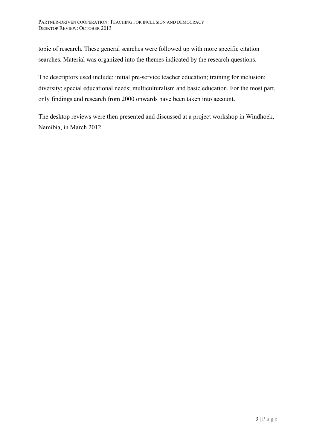topic of research. These general searches were followed up with more specific citation searches. Material was organized into the themes indicated by the research questions.

The descriptors used include: initial pre-service teacher education; training for inclusion; diversity; special educational needs; multiculturalism and basic education. For the most part, only findings and research from 2000 onwards have been taken into account.

The desktop reviews were then presented and discussed at a project workshop in Windhoek, Namibia, in March 2012.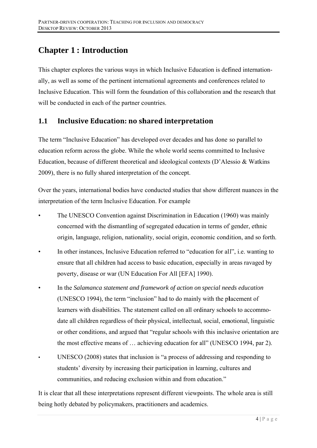# **Chapter 1: Introduction**

This chapter explores the various ways in which Inclusive Education is defined internationally, as well as some of the pertinent international agreements and conferences related to Inclusive Education. This will form the foundation of this collaboration and the research that will be conducted in each of the partner countries.

#### **Inclusive Education: no shared interpretation** 1.1

The term "Inclusive Education" has developed over decades and has done so parallel to education reform across the globe. While the whole world seems committed to Inclusive Education, because of different theoretical and ideological contexts (D'Alessio & Watkins 2009), there is no fully shared interpretation of the concept.

Over the years, international bodies have conducted studies that show different nuances in the interpretation of the term Inclusive Education. For example

- The UNESCO Convention against Discrimination in Education (1960) was mainly concerned with the dismantling of segregated education in terms of gender, ethnic origin, language, religion, nationality, social origin, economic condition, and so forth.
- In other instances, Inclusive Education referred to "education for all", i.e. wanting to ensure that all children had access to basic education, especially in areas ravaged by poverty, disease or war (UN Education For All [EFA] 1990).
- In the Salamanca statement and framework of action on special needs education (UNESCO 1994), the term "inclusion" had to do mainly with the placement of learners with disabilities. The statement called on all ordinary schools to accommodate all children regardless of their physical, intellectual, social, emotional, linguistic or other conditions, and argued that "regular schools with this inclusive orientation are the most effective means of ... achieving education for all" (UNESCO 1994, par 2).
- UNESCO (2008) states that inclusion is "a process of addressing and responding to students' diversity by increasing their participation in learning, cultures and communities, and reducing exclusion within and from education."

It is clear that all these interpretations represent different viewpoints. The whole area is still being hotly debated by policymakers, practitioners and academics.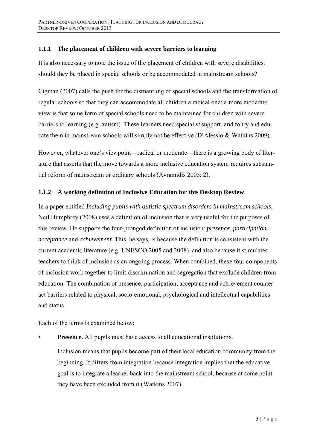#### $1.1.1$ The placement of children with severe barriers to learning

It is also necessary to note the issue of the placement of children with severe disabilities: should they be placed in special schools or be accommodated in mainstream schools?

Cigman (2007) calls the push for the dismantling of special schools and the transformation of regular schools so that they can accommodate all children a radical one: a more moderate view is that some form of special schools need to be maintained for children with severe barriers to learning (e.g. autism). These learners need specialist support, and to try and educate them in mainstream schools will simply not be effective (D'Alessio & Watkins 2009).

However, whatever one's viewpoint—radical or moderate—there is a growing body of literature that asserts that the move towards a more inclusive education system requires substantial reform of mainstream or ordinary schools (Avramidis 2005: 2).

#### A working definition of Inclusive Education for this Desktop Review  $1.1.2$

In a paper entitled Including pupils with autistic spectrum disorders in mainstream schools, Neil Humphrey (2008) uses a definition of inclusion that is very useful for the purposes of this review. He supports the four-pronged definition of inclusion: *presence, participation*, *acceptance* and *achievement*. This, he says, is because the definition is consistent with the current academic literature (e.g. UNESCO 2005 and 2008), and also because it stimulates teachers to think of inclusion as an ongoing process. When combined, these four components of inclusion work together to limit discrimination and segregation that exclude children from education. The combination of presence, participation, acceptance and achievement counteract barriers related to physical, socio-emotional, psychological and intellectual capabilities and status.

Each of the terms is examined below:

**Presence.** All pupils must have access to all educational institutions.

Inclusion means that pupils become part of their local education community from the beginning. It differs from integration because integration implies that the educative goal is to integrate a learner back into the mainstream school, because at some point they have been excluded from it (Watkins 2007).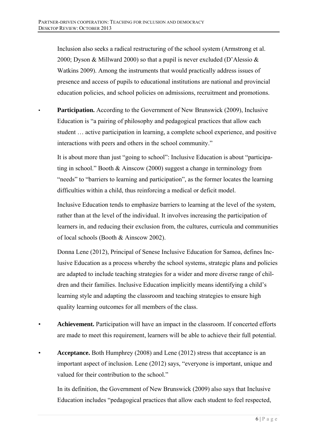Inclusion also seeks a radical restructuring of the school system (Armstrong et al. 2000; Dyson & Millward 2000) so that a pupil is never excluded (D'Alessio & Watkins 2009). Among the instruments that would practically address issues of presence and access of pupils to educational institutions are national and provincial education policies, and school policies on admissions, recruitment and promotions.

**Participation.** According to the Government of New Brunswick (2009), Inclusive Education is "a pairing of philosophy and pedagogical practices that allow each student … active participation in learning, a complete school experience, and positive interactions with peers and others in the school community."

It is about more than just "going to school": Inclusive Education is about "participating in school." Booth & Ainscow (2000) suggest a change in terminology from "needs" to "barriers to learning and participation", as the former locates the learning difficulties within a child, thus reinforcing a medical or deficit model.

Inclusive Education tends to emphasize barriers to learning at the level of the system, rather than at the level of the individual. It involves increasing the participation of learners in, and reducing their exclusion from, the cultures, curricula and communities of local schools (Booth & Ainscow 2002).

Donna Lene (2012), Principal of Senese Inclusive Education for Samoa, defines Inclusive Education as a process whereby the school systems, strategic plans and policies are adapted to include teaching strategies for a wider and more diverse range of children and their families. Inclusive Education implicitly means identifying a child's learning style and adapting the classroom and teaching strategies to ensure high quality learning outcomes for all members of the class.

- **Achievement.** Participation will have an impact in the classroom. If concerted efforts are made to meet this requirement, learners will be able to achieve their full potential.
- **Acceptance.** Both Humphrey (2008) and Lene (2012) stress that acceptance is an important aspect of inclusion. Lene (2012) says, "everyone is important, unique and valued for their contribution to the school."

In its definition, the Government of New Brunswick (2009) also says that Inclusive Education includes "pedagogical practices that allow each student to feel respected,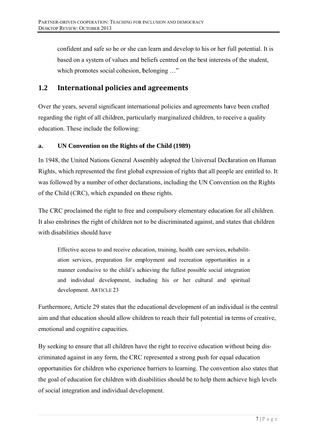confident and safe so he or she can learn and develop to his or her full potential. It is based on a system of values and beliefs centred on the best interests of the student, which promotes social cohesion, belonging ..."

#### $1.2$ **International policies and agreements**

Over the years, several significant international policies and agreements have been crafted regarding the right of all children, particularly marginalized children, to receive a quality education. These include the following:

#### UN Convention on the Rights of the Child (1989)  $\mathbf{a}$ .

In 1948, the United Nations General Assembly adopted the Universal Declaration on Human Rights, which represented the first global expression of rights that all people are entitled to. It was followed by a number of other declarations, including the UN Convention on the Rights of the Child (CRC), which expanded on these rights.

The CRC proclaimed the right to free and compulsory elementary education for all children. It also enshrines the right of children not to be discriminated against, and states that children with disabilities should have

Effective access to and receive education, training, health care services, rehabilitation services, preparation for employment and recreation opportunities in a manner conducive to the child's achieving the fullest possible social integration and individual development, including his or her cultural and spiritual development. ARTICLE 23

Furthermore, Article 29 states that the educational development of an individual is the central aim and that education should allow children to reach their full potential in terms of creative. emotional and cognitive capacities.

By seeking to ensure that all children have the right to receive education without being discriminated against in any form, the CRC represented a strong push for equal education opportunities for children who experience barriers to learning. The convention also states that the goal of education for children with disabilities should be to help them achieve high levels of social integration and individual development.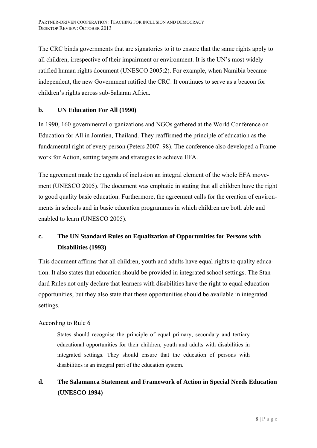The CRC binds governments that are signatories to it to ensure that the same rights apply to all children, irrespective of their impairment or environment. It is the UN's most widely ratified human rights document (UNESCO 2005:2). For example, when Namibia became independent, the new Government ratified the CRC. It continues to serve as a beacon for children's rights across sub-Saharan Africa.

# **b. UN Education For All (1990)**

In 1990, 160 governmental organizations and NGOs gathered at the World Conference on Education for All in Jomtien, Thailand. They reaffirmed the principle of education as the fundamental right of every person (Peters 2007: 98). The conference also developed a Framework for Action, setting targets and strategies to achieve EFA.

The agreement made the agenda of inclusion an integral element of the whole EFA movement (UNESCO 2005). The document was emphatic in stating that all children have the right to good quality basic education. Furthermore, the agreement calls for the creation of environments in schools and in basic education programmes in which children are both able and enabled to learn (UNESCO 2005).

# **c. The UN Standard Rules on Equalization of Opportunities for Persons with Disabilities (1993)**

This document affirms that all children, youth and adults have equal rights to quality education. It also states that education should be provided in integrated school settings. The Standard Rules not only declare that learners with disabilities have the right to equal education opportunities, but they also state that these opportunities should be available in integrated settings.

# According to Rule 6

States should recognise the principle of equal primary, secondary and tertiary educational opportunities for their children, youth and adults with disabilities in integrated settings. They should ensure that the education of persons with disabilities is an integral part of the education system.

**d. The Salamanca Statement and Framework of Action in Special Needs Education (UNESCO 1994)**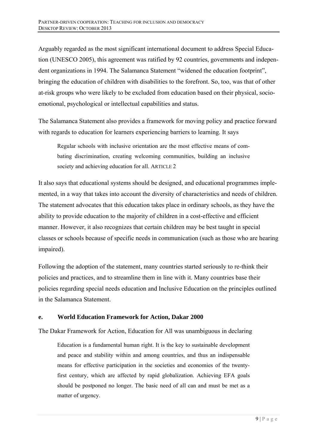Arguably regarded as the most significant international document to address Special Education (UNESCO 2005), this agreement was ratified by 92 countries, governments and independent organizations in 1994. The Salamanca Statement "widened the education footprint", bringing the education of children with disabilities to the forefront. So, too, was that of other at-risk groups who were likely to be excluded from education based on their physical, socioemotional, psychological or intellectual capabilities and status.

The Salamanca Statement also provides a framework for moving policy and practice forward with regards to education for learners experiencing barriers to learning. It says

Regular schools with inclusive orientation are the most effective means of combating discrimination, creating welcoming communities, building an inclusive society and achieving education for all. ARTICLE 2

It also says that educational systems should be designed, and educational programmes implemented, in a way that takes into account the diversity of characteristics and needs of children. The statement advocates that this education takes place in ordinary schools, as they have the ability to provide education to the majority of children in a cost-effective and efficient manner. However, it also recognizes that certain children may be best taught in special classes or schools because of specific needs in communication (such as those who are hearing impaired).

Following the adoption of the statement, many countries started seriously to re-think their policies and practices, and to streamline them in line with it. Many countries base their policies regarding special needs education and Inclusive Education on the principles outlined in the Salamanca Statement.

### **e. World Education Framework for Action, Dakar 2000**

The Dakar Framework for Action, Education for All was unambiguous in declaring

Education is a fundamental human right. It is the key to sustainable development and peace and stability within and among countries, and thus an indispensable means for effective participation in the societies and economies of the twentyfirst century, which are affected by rapid globalization. Achieving EFA goals should be postponed no longer. The basic need of all can and must be met as a matter of urgency.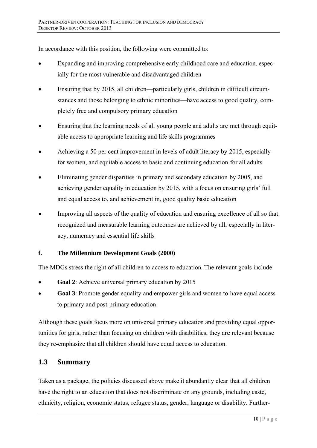In accordance with this position, the following were committed to:

- Expanding and improving comprehensive early childhood care and education, especially for the most vulnerable and disadvantaged children
- Ensuring that by 2015, all children—particularly girls, children in difficult circumstances and those belonging to ethnic minorities—have access to good quality, completely free and compulsory primary education
- Ensuring that the learning needs of all young people and adults are met through equitable access to appropriate learning and life skills programmes
- Achieving a 50 per cent improvement in levels of adult literacy by 2015, especially for women, and equitable access to basic and continuing education for all adults
- $\bullet$ Eliminating gender disparities in primary and secondary education by 2005, and achieving gender equality in education by 2015, with a focus on ensuring girls' full and equal access to, and achievement in, good quality basic education
- Improving all aspects of the quality of education and ensuring excellence of all so that  $\bullet$ recognized and measurable learning outcomes are achieved by all, especially in literacy, numeracy and essential life skills

#### f. The Millennium Development Goals (2000)

The MDGs stress the right of all children to access to education. The relevant goals include

- Goal 2: Achieve universal primary education by 2015
- Goal 3: Promote gender equality and empower girls and women to have equal access to primary and post-primary education

Although these goals focus more on universal primary education and providing equal opportunities for girls, rather than focusing on children with disabilities, they are relevant because they re-emphasize that all children should have equal access to education.

#### $1.3$ **Summary**

Taken as a package, the policies discussed above make it abundantly clear that all children have the right to an education that does not discriminate on any grounds, including caste, ethnicity, religion, economic status, refugee status, gender, language or disability. Further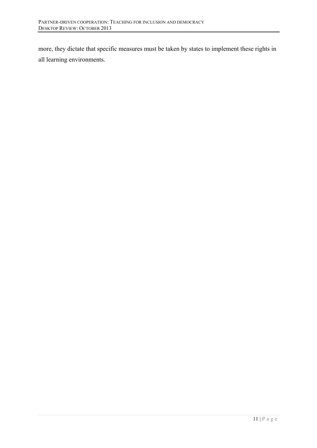more, they dictate that specific measures must be taken by states to implement these rights in all learning environments.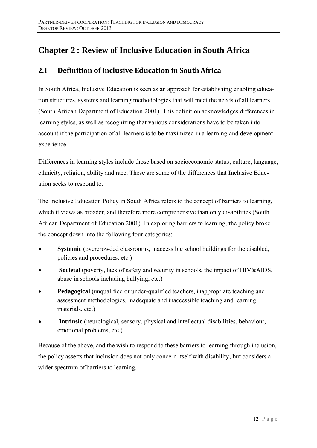# **Chapter 2: Review of Inclusive Education in South Africa**

#### $2.1$ Definition of Inclusive Education in South Africa

In South Africa, Inclusive Education is seen as an approach for establishing enabling education structures, systems and learning methodologies that will meet the needs of all learners (South African Department of Education 2001). This definition acknowledges differences in learning styles, as well as recognizing that various considerations have to be taken into account if the participation of all learners is to be maximized in a learning and development experience.

Differences in learning styles include those based on socioeconomic status, culture, language, ethnicity, religion, ability and race. These are some of the differences that Inclusive Education seeks to respond to

The Inclusive Education Policy in South Africa refers to the concept of barriers to learning, which it views as broader, and therefore more comprehensive than only disabilities (South) African Department of Education 2001). In exploring barriers to learning, the policy broke the concept down into the following four categories:

- **Systemic** (overcrowded classrooms, inaccessible school buildings for the disabled,  $\bullet$ policies and procedures, etc.)
- Societal (poverty, lack of safety and security in schools, the impact of HIV&AIDS, abuse in schools including bullying, etc.)
- **Pedagogical** (unqualified or under-qualified teachers, inappropriate teaching and assessment methodologies, inadequate and inaccessible teaching and learning materials, etc.)
- Intrinsic (neurological, sensory, physical and intellectual disabilities, behaviour, emotional problems, etc.)

Because of the above, and the wish to respond to these barriers to learning through inclusion, the policy asserts that inclusion does not only concern itself with disability, but considers a wider spectrum of barriers to learning.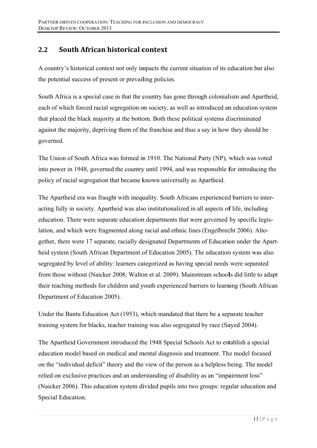#### $2.2$ South African historical context

A country's historical context not only impacts the current situation of its education but also the potential success of present or prevailing policies.

South Africa is a special case in that the country has gone through colonialism and Apartheid. each of which forced racial segregation on society, as well as introduced an education system that placed the black majority at the bottom. Both these political systems discriminated against the majority, depriving them of the franchise and thus a say in how they should be governed.

The Union of South Africa was formed in 1910. The National Party (NP), which was voted into power in 1948, governed the country until 1994, and was responsible for introducing the policy of racial segregation that became known universally as Apartheid.

The Apartheid era was fraught with inequality. South Africans experienced barriers to interacting fully in society. Apartheid was also institutionalized in all aspects of life, including education. There were separate education departments that were governed by specific legislation, and which were fragmented along racial and ethnic lines (Engelbrecht 2006). Altogether, there were 17 separate, racially designated Departments of Education under the Apartheid system (South African Department of Education 2005). The education system was also segregated by level of ability: learners categorized as having special needs were separated from those without (Naicker 2008; Walton et al. 2009). Mainstream schools did little to adapt their teaching methods for children and youth experienced barriers to learning (South African Department of Education 2005).

Under the Bantu Education Act (1953), which mandated that there be a separate teacher training system for blacks, teacher training was also segregated by race (Sayed 2004).

The Apartheid Government introduced the 1948 Special Schools Act to establish a special education model based on medical and mental diagnosis and treatment. The model focused on the "individual deficit" theory and the view of the person as a helpless being. The model relied on exclusive practices and an understanding of disability as an "impairment loss" (Naicker 2006). This education system divided pupils into two groups: regular education and Special Education.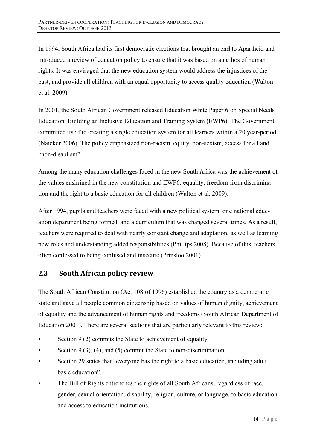In 1994, South Africa had its first democratic elections that brought an end to Apartheid and introduced a review of education policy to ensure that it was based on an ethos of human rights. It was envisaged that the new education system would address the injustices of the past, and provide all children with an equal opportunity to access quality education (Walton et al. 2009).

In 2001, the South African Government released Education White Paper 6 on Special Needs Education: Building an Inclusive Education and Training System (EWP6). The Government committed itself to creating a single education system for all learners within a 20 year-period (Naicker 2006). The policy emphasized non-racism, equity, non-sexism, access for all and "non-disablism".

Among the many education challenges faced in the new South Africa was the achievement of the values enshrined in the new constitution and EWP6: equality, freedom from discrimination and the right to a basic education for all children (Walton et al. 2009).

After 1994, pupils and teachers were faced with a new political system, one national education department being formed, and a curriculum that was changed several times. As a result, teachers were required to deal with nearly constant change and adaptation, as well as learning new roles and understanding added responsibilities (Phillips 2008). Because of this, teachers often confessed to being confused and insecure (Prinsloo 2001).

#### $2.3$ **South African policy review**

The South African Constitution (Act 108 of 1996) established the country as a democratic state and gave all people common citizenship based on values of human dignity, achievement of equality and the advancement of human rights and freedoms (South African Department of Education 2001). There are several sections that are particularly relevant to this review:

- Section 9 (2) commits the State to achievement of equality.
- Section 9 (3), (4), and (5) commit the State to non-discrimination.
- Section 29 states that "everyone has the right to a basic education, including adult basic education"
- The Bill of Rights entrenches the rights of all South Africans, regardless of race, gender, sexual orientation, disability, religion, culture, or language, to basic education and access to education institutions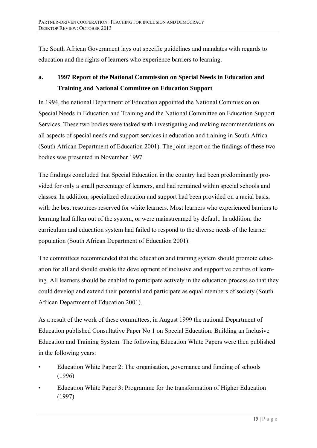The South African Government lays out specific guidelines and mandates with regards to education and the rights of learners who experience barriers to learning.

# **a. 1997 Report of the National Commission on Special Needs in Education and Training and National Committee on Education Support**

In 1994, the national Department of Education appointed the National Commission on Special Needs in Education and Training and the National Committee on Education Support Services. These two bodies were tasked with investigating and making recommendations on all aspects of special needs and support services in education and training in South Africa (South African Department of Education 2001). The joint report on the findings of these two bodies was presented in November 1997.

The findings concluded that Special Education in the country had been predominantly provided for only a small percentage of learners, and had remained within special schools and classes. In addition, specialized education and support had been provided on a racial basis, with the best resources reserved for white learners. Most learners who experienced barriers to learning had fallen out of the system, or were mainstreamed by default. In addition, the curriculum and education system had failed to respond to the diverse needs of the learner population (South African Department of Education 2001).

The committees recommended that the education and training system should promote education for all and should enable the development of inclusive and supportive centres of learning. All learners should be enabled to participate actively in the education process so that they could develop and extend their potential and participate as equal members of society (South African Department of Education 2001).

As a result of the work of these committees, in August 1999 the national Department of Education published Consultative Paper No 1 on Special Education: Building an Inclusive Education and Training System. The following Education White Papers were then published in the following years:

- Education White Paper 2: The organisation, governance and funding of schools (1996)
- Education White Paper 3: Programme for the transformation of Higher Education (1997)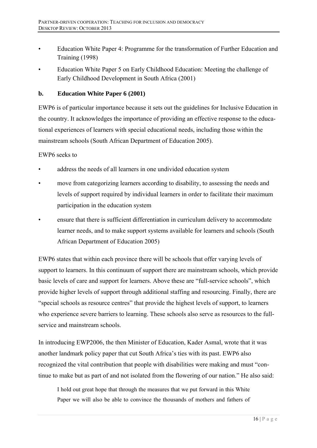- Education White Paper 4: Programme for the transformation of Further Education and Training (1998)
- Education White Paper 5 on Early Childhood Education: Meeting the challenge of Early Childhood Development in South Africa (2001)

## **b. Education White Paper 6 (2001)**

EWP6 is of particular importance because it sets out the guidelines for Inclusive Education in the country. It acknowledges the importance of providing an effective response to the educational experiences of learners with special educational needs, including those within the mainstream schools (South African Department of Education 2005).

### EWP6 seeks to

- address the needs of all learners in one undivided education system
- move from categorizing learners according to disability, to assessing the needs and levels of support required by individual learners in order to facilitate their maximum participation in the education system
- ensure that there is sufficient differentiation in curriculum delivery to accommodate learner needs, and to make support systems available for learners and schools (South African Department of Education 2005)

EWP6 states that within each province there will be schools that offer varying levels of support to learners. In this continuum of support there are mainstream schools, which provide basic levels of care and support for learners. Above these are "full-service schools", which provide higher levels of support through additional staffing and resourcing. Finally, there are "special schools as resource centres" that provide the highest levels of support, to learners who experience severe barriers to learning. These schools also serve as resources to the fullservice and mainstream schools.

In introducing EWP2006, the then Minister of Education, Kader Asmal, wrote that it was another landmark policy paper that cut South Africa's ties with its past. EWP6 also recognized the vital contribution that people with disabilities were making and must "continue to make but as part of and not isolated from the flowering of our nation." He also said:

I hold out great hope that through the measures that we put forward in this White Paper we will also be able to convince the thousands of mothers and fathers of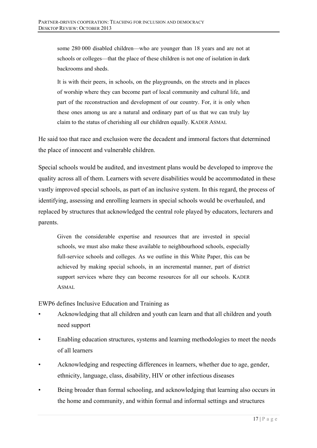some 280 000 disabled children—who are younger than 18 years and are not at schools or colleges—that the place of these children is not one of isolation in dark backrooms and sheds.

It is with their peers, in schools, on the playgrounds, on the streets and in places of worship where they can become part of local community and cultural life, and part of the reconstruction and development of our country. For, it is only when these ones among us are a natural and ordinary part of us that we can truly lay claim to the status of cherishing all our children equally. KADER ASMAL

He said too that race and exclusion were the decadent and immoral factors that determined the place of innocent and vulnerable children.

Special schools would be audited, and investment plans would be developed to improve the quality across all of them. Learners with severe disabilities would be accommodated in these vastly improved special schools, as part of an inclusive system. In this regard, the process of identifying, assessing and enrolling learners in special schools would be overhauled, and replaced by structures that acknowledged the central role played by educators, lecturers and parents.

Given the considerable expertise and resources that are invested in special schools, we must also make these available to neighbourhood schools, especially full-service schools and colleges. As we outline in this White Paper, this can be achieved by making special schools, in an incremental manner, part of district support services where they can become resources for all our schools. KADER ASMAL

### EWP6 defines Inclusive Education and Training as

- Acknowledging that all children and youth can learn and that all children and youth need support
- Enabling education structures, systems and learning methodologies to meet the needs of all learners
- Acknowledging and respecting differences in learners, whether due to age, gender, ethnicity, language, class, disability, HIV or other infectious diseases
- Being broader than formal schooling, and acknowledging that learning also occurs in the home and community, and within formal and informal settings and structures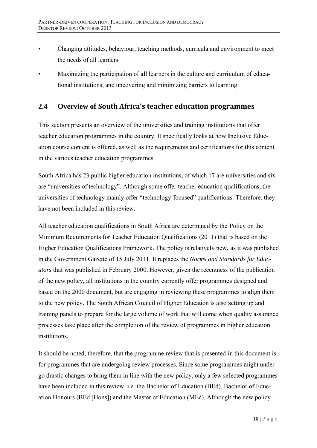- Changing attitudes, behaviour, teaching methods, curricula and environment to meet the needs of all learners
- Maximizing the participation of all learners in the culture and curriculum of educational institutions, and uncovering and minimizing barriers to learning

#### $2.4$ **Overview of South Africa's teacher education programmes**

This section presents an overview of the universities and training institutions that offer teacher education programmes in the country. It specifically looks at how Inclusive Education course content is offered, as well as the requirements and certifications for this content in the various teacher education programmes.

South Africa has 23 public higher education institutions, of which 17 are universities and six are "universities of technology". Although some offer teacher education qualifications, the universities of technology mainly offer "technology-focused" qualifications. Therefore, they have not been included in this review.

All teacher education qualifications in South Africa are determined by the Policy on the Minimum Requirements for Teacher Education Qualifications (2011) that is based on the Higher Education Qualifications Framework. The policy is relatively new, as it was published in the Government Gazette of 15 July 2011. It replaces the Norms and Standards for Educ*ators* that was published in February 2000. However, given the recentness of the publication of the new policy, all institutions in the country currently offer programmes designed and based on the 2000 document, but are engaging in reviewing these programmes to align them to the new policy. The South African Council of Higher Education is also setting up and training panels to prepare for the large volume of work that will come when quality assurance processes take place after the completion of the review of programmes in higher education institutions.

It should be noted, therefore, that the programme review that is presented in this document is for programmes that are undergoing review processes. Since some programmes might undergo drastic changes to bring them in line with the new policy, only a few selected programmes have been included in this review, i.e. the Bachelor of Education (BEd), Bachelor of Education Honours (BEd [Hons]) and the Master of Education (MEd). Although the new policy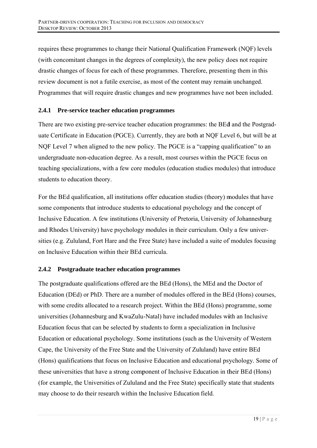requires these programmes to change their National Qualification Framework (NQF) levels (with concomitant changes in the degrees of complexity), the new policy does not require drastic changes of focus for each of these programmes. Therefore, presenting them in this review document is not a futile exercise, as most of the content may remain unchanged. Programmes that will require drastic changes and new programmes have not been included.

# 2.4.1 Pre-service teacher education programmes

There are two existing pre-service teacher education programmes: the BEd and the Postgraduate Certificate in Education (PGCE). Currently, they are both at NQF Level 6, but will be at NQF Level 7 when aligned to the new policy. The PGCE is a "capping qualification" to an undergraduate non-education degree. As a result, most courses within the PGCE focus on teaching specializations, with a few core modules (education studies modules) that introduce students to education theory.

For the BEd qualification, all institutions offer education studies (theory) modules that have some components that introduce students to educational psychology and the concept of Inclusive Education. A few institutions (University of Pretoria, University of Johannesburg) and Rhodes University) have psychology modules in their curriculum. Only a few universities (e.g. Zululand, Fort Hare and the Free State) have included a suite of modules focusing on Inclusive Education within their BEd curricula.

### 2.4.2 Postgraduate teacher education programmes

The postgraduate qualifications offered are the BEd (Hons), the MEd and the Doctor of Education (DEd) or PhD. There are a number of modules offered in the BEd (Hons) courses, with some credits allocated to a research project. Within the BEd (Hons) programme, some universities (Johannesburg and KwaZulu-Natal) have included modules with an Inclusive Education focus that can be selected by students to form a specialization in Inclusive Education or educational psychology. Some institutions (such as the University of Western Cape, the University of the Free State and the University of Zululand) have entire BEd (Hons) qualifications that focus on Inclusive Education and educational psychology. Some of these universities that have a strong component of Inclusive Education in their BEd (Hons) (for example, the Universities of Zululand and the Free State) specifically state that students may choose to do their research within the Inclusive Education field.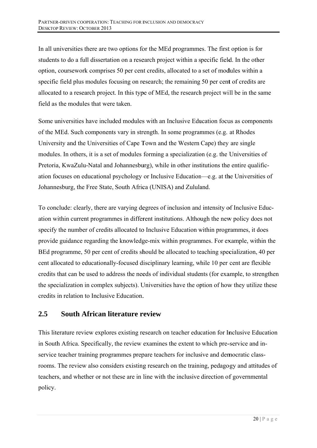In all universities there are two options for the MEd programmes. The first option is for students to do a full dissertation on a research project within a specific field. In the other option, coursework comprises 50 per cent credits, allocated to a set of modules within a specific field plus modules focusing on research; the remaining 50 per cent of credits are allocated to a research project. In this type of MEd, the research project will be in the same field as the modules that were taken.

Some universities have included modules with an Inclusive Education focus as components of the MEd. Such components vary in strength. In some programmes (e.g. at Rhodes University and the Universities of Cape Town and the Western Cape) they are single modules. In others, it is a set of modules forming a specialization (e.g. the Universities of Pretoria, KwaZulu-Natal and Johannesburg), while in other institutions the entire qualification focuses on educational psychology or Inclusive Education—e.g. at the Universities of Johannesburg, the Free State, South Africa (UNISA) and Zululand.

To conclude: clearly, there are varying degrees of inclusion and intensity of Inclusive Education within current programmes in different institutions. Although the new policy does not specify the number of credits allocated to Inclusive Education within programmes, it does provide guidance regarding the knowledge-mix within programmes. For example, within the BEd programme, 50 per cent of credits should be allocated to teaching specialization, 40 per cent allocated to educationally-focused disciplinary learning, while 10 per cent are flexible credits that can be used to address the needs of individual students (for example, to strengthen the specialization in complex subjects). Universities have the option of how they utilize these credits in relation to Inclusive Education.

#### **2.5 South A African lit erature r review**

This literature review explores existing research on teacher education for Inclusive Education in South Africa. Specifically, the review examines the extent to which pre-service and inservice teacher training programmes prepare teachers for inclusive and democratic classrooms. The review also considers existing research on the training, pedagogy and attitudes of teachers, and whether or not these are in line with the inclusive direction of governmental policy.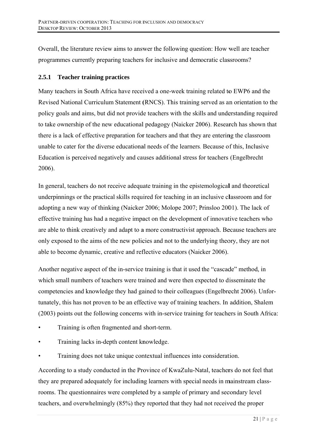Overall, the literature review aims to answer the following question: How well are teacher programmes currently preparing teachers for inclusive and democratic classrooms?

#### **Teacher training practices**  $2.5.1$

Many teachers in South Africa have received a one-week training related to EWP6 and the Revised National Curriculum Statement (RNCS). This training served as an orientation to the policy goals and aims, but did not provide teachers with the skills and understanding required to take ownership of the new educational pedagogy (Naicker 2006). Research has shown that there is a lack of effective preparation for teachers and that they are entering the classroom unable to cater for the diverse educational needs of the learners. Because of this, Inclusive Education is perceived negatively and causes additional stress for teachers (Engelbrecht 2006).

In general, teachers do not receive adequate training in the epistemological and theoretical underpinnings or the practical skills required for teaching in an inclusive classroom and for adopting a new way of thinking (Naicker 2006; Molope 2007; Prinsloo 2001). The lack of effective training has had a negative impact on the development of innovative teachers who are able to think creatively and adapt to a more constructivist approach. Because teachers are only exposed to the aims of the new policies and not to the underlying theory, they are not able to become dynamic, creative and reflective educators (Naicker 2006).

Another negative aspect of the in-service training is that it used the "cascade" method, in which small numbers of teachers were trained and were then expected to disseminate the competencies and knowledge they had gained to their colleagues (Engelbrecht 2006). Unfortunately, this has not proven to be an effective way of training teachers. In addition, Shalem (2003) points out the following concerns with in-service training for teachers in South Africa:

- Training is often fragmented and short-term.
- Training lacks in-depth content knowledge.
- Training does not take unique contextual influences into consideration.

According to a study conducted in the Province of KwaZulu-Natal, teachers do not feel that they are prepared adequately for including learners with special needs in mainstream classrooms. The questionnaires were completed by a sample of primary and secondary level teachers, and overwhelmingly (85%) they reported that they had not received the proper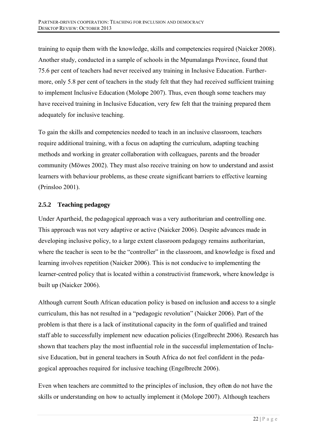training to equip them with the knowledge, skills and competencies required (Naicker 2008). Another study, conducted in a sample of schools in the Mpumalanga Province, found that 75.6 per cent of teachers had never received any training in Inclusive Education. Furthermore, only 5.8 per cent of teachers in the study felt that they had received sufficient training to implement Inclusive Education (Molope 2007). Thus, even though some teachers may have received training in Inclusive Education, very few felt that the training prepared them adequately for inclusive teaching.

To gain the skills and competencies needed to teach in an inclusive classroom, teachers require additional training, with a focus on adapting the curriculum, adapting teaching methods and working in greater collaboration with colleagues, parents and the broader community (Möwes 2002). They must also receive training on how to understand and assist learners with behaviour problems, as these create significant barriers to effective learning (Prinsloo 2001).

#### $2.5.2$ **Teaching pedagogy**

Under Apartheid, the pedagogical approach was a very authoritarian and controlling one. This approach was not very adaptive or active (Naicker 2006). Despite advances made in developing inclusive policy, to a large extent classroom pedagogy remains authoritarian, where the teacher is seen to be the "controller" in the classroom, and knowledge is fixed and learning involves repetition (Naicker 2006). This is not conducive to implementing the learner-centred policy that is located within a constructivist framework, where knowledge is built up (Naicker 2006).

Although current South African education policy is based on inclusion and access to a single curriculum, this has not resulted in a "pedagogic revolution" (Naicker 2006). Part of the problem is that there is a lack of institutional capacity in the form of qualified and trained staff able to successfully implement new education policies (Engelbrecht 2006). Research has shown that teachers play the most influential role in the successful implementation of Inclusive Education, but in general teachers in South Africa do not feel confident in the pedagogical approaches required for inclusive teaching (Engelbrecht 2006).

Even when teachers are committed to the principles of inclusion, they often do not have the skills or understanding on how to actually implement it (Molope 2007). Although teachers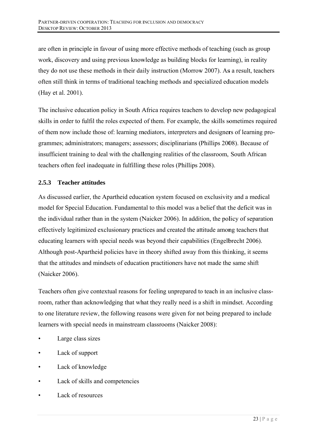are often in principle in favour of using more effective methods of teaching (such as group work, discovery and using previous knowledge as building blocks for learning), in reality they do not use these methods in their daily instruction (Morrow 2007). As a result, teachers often still think in terms of traditional teaching methods and specialized education models (Hay et al. 2001).

The inclusive education policy in South Africa requires teachers to develop new pedagogical skills in order to fulfil the roles expected of them. For example, the skills sometimes required of them now include those of: learning mediators, interpreters and designers of learning programmes; administrators; managers; assessors; disciplinarians (Phillips 2008). Because of insufficient training to deal with the challenging realities of the classroom, South African teachers often feel inadequate in fulfilling these roles (Phillips 2008).

#### $2.5.3$ **Teacher attitudes**

As discussed earlier, the Apartheid education system focused on exclusivity and a medical model for Special Education. Fundamental to this model was a belief that the deficit was in the individual rather than in the system (Naicker 2006). In addition, the policy of separation effectively legitimized exclusionary practices and created the attitude among teachers that educating learners with special needs was beyond their capabilities (Engelbrecht 2006). Although post-Apartheid policies have in theory shifted away from this thinking, it seems that the attitudes and mindsets of education practitioners have not made the same shift (Naicker 2006).

Teachers often give contextual reasons for feeling unprepared to teach in an inclusive classroom, rather than acknowledging that what they really need is a shift in mindset. According to one literature review, the following reasons were given for not being prepared to include learners with special needs in mainstream classrooms (Naicker 2008):

- Large class sizes
- Lack of support
- Lack of knowledge
- Lack of skills and competencies
- Lack of resources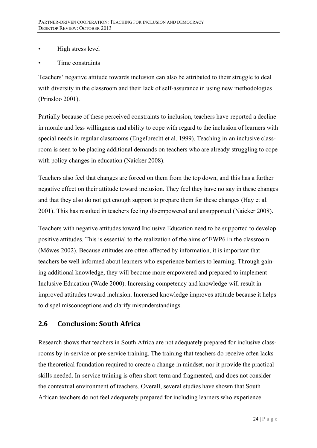- High stress level
- Time constraints

Teachers' negative attitude towards inclusion can also be attributed to their struggle to deal with diversity in the classroom and their lack of self-assurance in using new methodologies (Prinsloo 2001).

Partially because of these perceived constraints to inclusion, teachers have reported a decline in morale and less willingness and ability to cope with regard to the inclusion of learners with special needs in regular classrooms (Engelbrecht et al. 1999). Teaching in an inclusive classroom is seen to be placing additional demands on teachers who are already struggling to cope with policy changes in education (Naicker 2008).

Teachers also feel that changes are forced on them from the top down, and this has a further negative effect on their attitude toward inclusion. They feel they have no say in these changes and that they also do not get enough support to prepare them for these changes (Hay et al. 2001). This has resulted in teachers feeling disempowered and unsupported (Naicker 2008).

Teachers with negative attitudes toward Inclusive Education need to be supported to develop positive attitudes. This is essential to the realization of the aims of EWP6 in the classroom (Möwes 2002). Because attitudes are often affected by information, it is important that teachers be well informed about learners who experience barriers to learning. Through gaining additional knowledge, they will become more empowered and prepared to implement Inclusive Education (Wade 2000). Increasing competency and knowledge will result in improved attitudes toward inclusion. Increased knowledge improves attitude because it helps to dispel misconceptions and clarify misunderstandings.

#### $2.6$ **Conclusion: South Africa**

Research shows that teachers in South Africa are not adequately prepared for inclusive classrooms by in-service or pre-service training. The training that teachers do receive often lacks the theoretical foundation required to create a change in mindset, nor it provide the practical skills needed. In-service training is often short-term and fragmented, and does not consider the contextual environment of teachers. Overall, several studies have shown that South African teachers do not feel adequately prepared for including learners who experience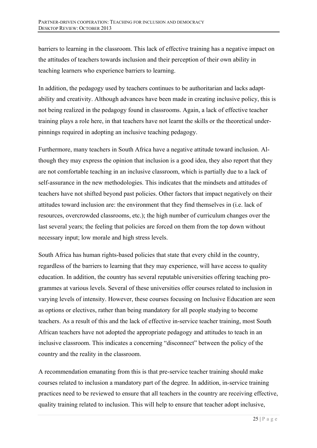barriers to learning in the classroom. This lack of effective training has a negative impact on the attitudes of teachers towards inclusion and their perception of their own ability in teaching learners who experience barriers to learning.

In addition, the pedagogy used by teachers continues to be authoritarian and lacks adaptability and creativity. Although advances have been made in creating inclusive policy, this is not being realized in the pedagogy found in classrooms. Again, a lack of effective teacher training plays a role here, in that teachers have not learnt the skills or the theoretical underpinnings required in adopting an inclusive teaching pedagogy.

Furthermore, many teachers in South Africa have a negative attitude toward inclusion. Although they may express the opinion that inclusion is a good idea, they also report that they are not comfortable teaching in an inclusive classroom, which is partially due to a lack of self-assurance in the new methodologies. This indicates that the mindsets and attitudes of teachers have not shifted beyond past policies. Other factors that impact negatively on their attitudes toward inclusion are: the environment that they find themselves in (i.e. lack of resources, overcrowded classrooms, etc.); the high number of curriculum changes over the last several years; the feeling that policies are forced on them from the top down without necessary input; low morale and high stress levels.

South Africa has human rights-based policies that state that every child in the country, regardless of the barriers to learning that they may experience, will have access to quality education. In addition, the country has several reputable universities offering teaching programmes at various levels. Several of these universities offer courses related to inclusion in varying levels of intensity. However, these courses focusing on Inclusive Education are seen as options or electives, rather than being mandatory for all people studying to become teachers. As a result of this and the lack of effective in-service teacher training, most South African teachers have not adopted the appropriate pedagogy and attitudes to teach in an inclusive classroom. This indicates a concerning "disconnect" between the policy of the country and the reality in the classroom.

A recommendation emanating from this is that pre-service teacher training should make courses related to inclusion a mandatory part of the degree. In addition, in-service training practices need to be reviewed to ensure that all teachers in the country are receiving effective, quality training related to inclusion. This will help to ensure that teacher adopt inclusive,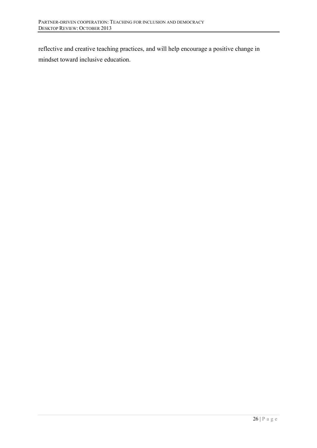reflective and creative teaching practices, and will help encourage a positive change in mindset toward inclusive education.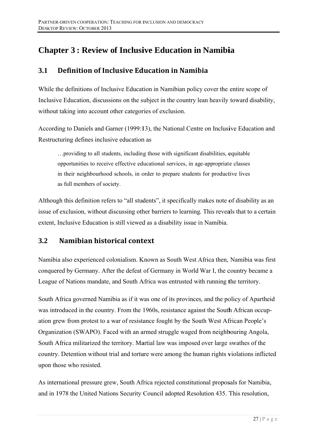# **Chapter 3: Review of Inclusive Education in Namibia**

#### $3.1$ Definition of Inclusive Education in Namihia

While the definitions of Inclusive Education in Namibian policy cover the entire scope of Inclusive Education, discussions on the subject in the country lean heavily toward disability, without taking into account other categories of exclusion.

According to Daniels and Garner (1999:13), the National Centre on Inclusive Education and Restructuring defines inclusive education as

... providing to all students, including those with significant disabilities, equitable. opportunities to receive effective educational services, in age-appropriate classes in their neighbourhood schools, in order to prepare students for productive lives as full members of society.

Although this definition refers to "all students", it specifically makes note of disability as an issue of exclusion, without discussing other barriers to learning. This reveals that to a certain extent, Inclusive Education is still viewed as a disability issue in Namibia.

#### Namibian historical context  $3.2$

Namibia also experienced colonialism. Known as South West Africa then, Namibia was first conquered by Germany. After the defeat of Germany in World War I, the country became a League of Nations mandate, and South Africa was entrusted with running the territory.

South Africa governed Namibia as if it was one of its provinces, and the policy of Apartheid was introduced in the country. From the 1960s, resistance against the South African occupation grew from protest to a war of resistance fought by the South West African People's Organization (SWAPO). Faced with an armed struggle waged from neighbouring Angola, South Africa militarized the territory. Martial law was imposed over large swathes of the country. Detention without trial and torture were among the human rights violations inflicted upon those who resisted.

As international pressure grew, South Africa rejected constitutional proposals for Namibia, and in 1978 the United Nations Security Council adopted Resolution 435. This resolution,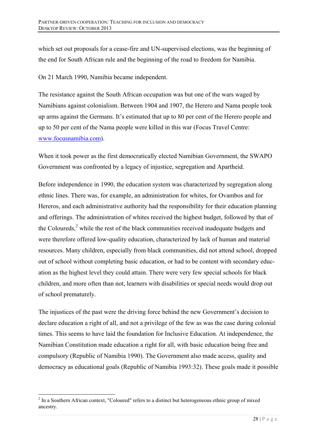which set out proposals for a cease-fire and UN-supervised elections, was the beginning of the end for South African rule and the beginning of the road to freedom for Namibia.

On 21 March 1990, Namibia became independent.

The resistance against the South African occupation was but one of the wars waged by Namibians against colonialism. Between 1904 and 1907, the Herero and Nama people took up arms against the Germans. It's estimated that up to 80 per cent of the Herero people and up to 50 per cent of the Nama people were killed in this war (Focus Travel Centre: www.focusnamibia.com).

When it took power as the first democratically elected Namibian Government, the SWAPO Government was confronted by a legacy of injustice, segregation and Apartheid.

Before independence in 1990, the education system was characterized by segregation along ethnic lines. There was, for example, an administration for whites, for Ovambos and for Hereros, and each administrative authority had the responsibility for their education planning and offerings. The administration of whites received the highest budget, followed by that of the Coloureds, $<sup>2</sup>$  while the rest of the black communities received inadequate budgets and</sup> were therefore offered low-quality education, characterized by lack of human and material resources. Many children, especially from black communities, did not attend school, dropped out of school without completing basic education, or had to be content with secondary education as the highest level they could attain. There were very few special schools for black children, and more often than not, learners with disabilities or special needs would drop out of school prematurely.

The injustices of the past were the driving force behind the new Government's decision to declare education a right of all, and not a privilege of the few as was the case during colonial times. This seems to have laid the foundation for Inclusive Education. At independence, the Namibian Constitution made education a right for all, with basic education being free and compulsory (Republic of Namibia 1990). The Government also made access, quality and democracy as educational goals (Republic of Namibia 1993:32). These goals made it possible

 $\overline{a}$  $2$  In a Southern African context, "Coloured" refers to a distinct but heterogeneous ethnic group of mixed ancestry.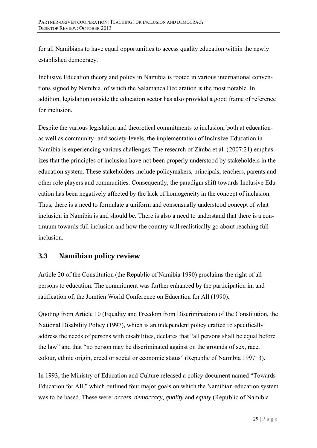for all Namibians to have equal opportunities to access quality education within the newly established democracy.

Inclusive Education theory and policy in Namibia is rooted in various international conventions signed by Namibia, of which the Salamanca Declaration is the most notable. In addition, legislation outside the education sector has also provided a good frame of reference for inclusion

Despite the various legislation and theoretical commitments to inclusion, both at educationas well as community- and society-levels, the implementation of Inclusive Education in Namibia is experiencing various challenges. The research of Zimba et al. (2007:21) emphasizes that the principles of inclusion have not been properly understood by stakeholders in the education system. These stakeholders include policymakers, principals, teachers, parents and other role players and communities. Consequently, the paradigm shift towards Inclusive Education has been negatively affected by the lack of homogeneity in the concept of inclusion. Thus, there is a need to formulate a uniform and consensually understood concept of what inclusion in Namibia is and should be. There is also a need to understand that there is a continuum towards full inclusion and how the country will realistically go about reaching full inclusion

#### $3.3$ Namibian policy review

Article 20 of the Constitution (the Republic of Namibia 1990) proclaims the right of all persons to education. The commitment was further enhanced by the participation in, and ratification of, the Jomtien World Conference on Education for All (1990).

Quoting from Article 10 (Equality and Freedom from Discrimination) of the Constitution, the National Disability Policy (1997), which is an independent policy crafted to specifically address the needs of persons with disabilities, declares that "all persons shall be equal before the law" and that "no person may be discriminated against on the grounds of sex, race, colour, ethnic origin, creed or social or economic status" (Republic of Namibia 1997: 3).

In 1993, the Ministry of Education and Culture released a policy document named "Towards" Education for All," which outlined four major goals on which the Namibian education system was to be based. These were: access, democracy, quality and equity (Republic of Namibia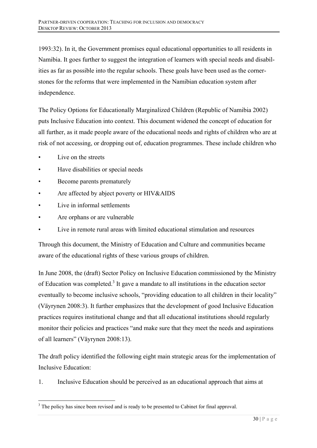1993:32). In it, the Government promises equal educational opportunities to all residents in Namibia. It goes further to suggest the integration of learners with special needs and disabilities as far as possible into the regular schools. These goals have been used as the cornerstones for the reforms that were implemented in the Namibian education system after independence.

The Policy Options for Educationally Marginalized Children (Republic of Namibia 2002) puts Inclusive Education into context. This document widened the concept of education for all further, as it made people aware of the educational needs and rights of children who are at risk of not accessing, or dropping out of, education programmes. These include children who

Live on the streets

 $\overline{a}$ 

- Have disabilities or special needs
- Become parents prematurely
- Are affected by abject poverty or HIV&AIDS
- Live in informal settlements
- Are orphans or are vulnerable
- Live in remote rural areas with limited educational stimulation and resources

Through this document, the Ministry of Education and Culture and communities became aware of the educational rights of these various groups of children.

In June 2008, the (draft) Sector Policy on Inclusive Education commissioned by the Ministry of Education was completed.<sup>3</sup> It gave a mandate to all institutions in the education sector eventually to become inclusive schools, "providing education to all children in their locality" (Väyrynen 2008:3). It further emphasizes that the development of good Inclusive Education practices requires institutional change and that all educational institutions should regularly monitor their policies and practices "and make sure that they meet the needs and aspirations of all learners" (Väyrynen 2008:13).

The draft policy identified the following eight main strategic areas for the implementation of Inclusive Education:

1. Inclusive Education should be perceived as an educational approach that aims at

 $3$  The policy has since been revised and is ready to be presented to Cabinet for final approval.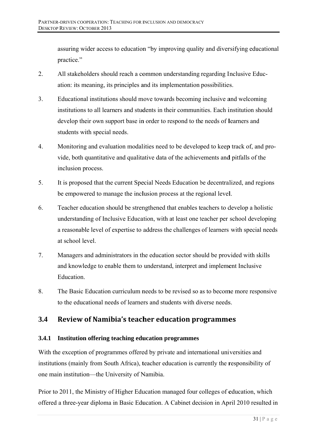assuring wider access to education "by improving quality and diversifying educational practice."

- $2.$ All stakeholders should reach a common understanding regarding Inclusive Education: its meaning, its principles and its implementation possibilities.
- $3<sub>1</sub>$ Educational institutions should move towards becoming inclusive and welcoming institutions to all learners and students in their communities. Each institution should develop their own support base in order to respond to the needs of learners and students with special needs.
- $\overline{4}$ . Monitoring and evaluation modalities need to be developed to keep track of, and provide, both quantitative and qualitative data of the achievements and pitfalls of the inclusion process.
- $5<sub>1</sub>$ It is proposed that the current Special Needs Education be decentralized, and regions be empowered to manage the inclusion process at the regional level.
- 6. Teacher education should be strengthened that enables teachers to develop a holistic understanding of Inclusive Education, with at least one teacher per school developing a reasonable level of expertise to address the challenges of learners with special needs at school level.
- $7.$ Managers and administrators in the education sector should be provided with skills and knowledge to enable them to understand, interpret and implement Inclusive Education.
- $8<sup>1</sup>$ The Basic Education curriculum needs to be revised so as to become more responsive to the educational needs of learners and students with diverse needs.

#### $3.4$ Review of Namibia's teacher education programmes

# 3.4.1 Institution offering teaching education programmes

With the exception of programmes offered by private and international universities and institutions (mainly from South Africa), teacher education is currently the responsibility of one main institution—the University of Namibia.

Prior to 2011, the Ministry of Higher Education managed four colleges of education, which offered a three-year diploma in Basic Education. A Cabinet decision in April 2010 resulted in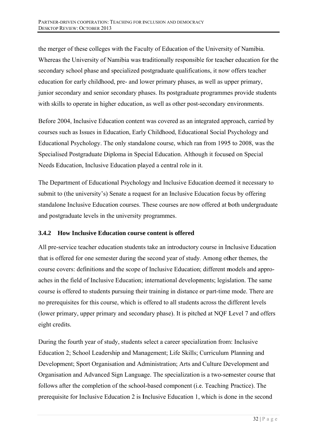the merger of these colleges with the Faculty of Education of the University of Namibia. Whereas the University of Namibia was traditionally responsible for teacher education for the secondary school phase and specialized postgraduate qualifications, it now offers teacher education for early childhood, pre- and lower primary phases, as well as upper primary, junior secondary and senior secondary phases. Its postgraduate programmes provide students with skills to operate in higher education, as well as other post-secondary environments.

Before 2004, Inclusive Education content was covered as an integrated approach, carried by courses such as Issues in Education, Early Childhood, Educational Social Psychology and Educational Psychology. The only standalone course, which ran from 1995 to 2008, was the Specialised Postgraduate Diploma in Special Education. Although it focused on Special Needs Education, Inclusive Education played a central role in it.

The Department of Educational Psychology and Inclusive Education deemed it necessary to submit to (the university's) Senate a request for an Inclusive Education focus by offering standalone Inclusive Education courses. These courses are now offered at both undergraduate and postgraduate levels in the university programmes.

#### **How Inclusive Education course content is offered**  $3.4.2$

All pre-service teacher education students take an introductory course in Inclusive Education that is offered for one semester during the second year of study. Among other themes, the course covers: definitions and the scope of Inclusive Education; different models and approaches in the field of Inclusive Education; international developments; legislation. The same course is offered to students pursuing their training in distance or part-time mode. There are no prerequisites for this course, which is offered to all students across the different levels (lower primary, upper primary and secondary phase). It is pitched at NOF Level 7 and offers eight credits.

During the fourth year of study, students select a career specialization from: Inclusive Education 2; School Leadership and Management; Life Skills; Curriculum Planning and Development: Sport Organisation and Administration; Arts and Culture Development and Organisation and Advanced Sign Language. The specialization is a two-semester course that follows after the completion of the school-based component (*i.e.* Teaching Practice). The prerequisite for Inclusive Education 2 is Inclusive Education 1, which is done in the second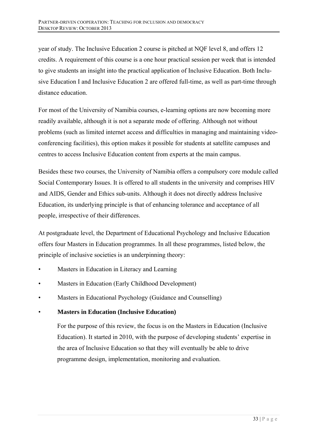year of study. The Inclusive Education 2 course is pitched at NQF level 8, and offers 12 credits. A requirement of this course is a one hour practical session per week that is intended to give students an insight into the practical application of Inclusive Education. Both Inclusive Education I and Inclusive Education 2 are offered full-time, as well as part-time through distance education.

For most of the University of Namibia courses, e-learning options are now becoming more readily available, although it is not a separate mode of offering. Although not without problems (such as limited internet access and difficulties in managing and maintaining videoconferencing facilities), this option makes it possible for students at satellite campuses and centres to access Inclusive Education content from experts at the main campus.

Besides these two courses, the University of Namibia offers a compulsory core module called Social Contemporary Issues. It is offered to all students in the university and comprises HIV and AIDS, Gender and Ethics sub-units. Although it does not directly address Inclusive Education, its underlying principle is that of enhancing tolerance and acceptance of all people, irrespective of their differences.

At postgraduate level, the Department of Educational Psychology and Inclusive Education offers four Masters in Education programmes. In all these programmes, listed below, the principle of inclusive societies is an underpinning theory:

- Masters in Education in Literacy and Learning
- Masters in Education (Early Childhood Development)
- Masters in Educational Psychology (Guidance and Counselling)

# • **Masters in Education (Inclusive Education)**

For the purpose of this review, the focus is on the Masters in Education (Inclusive Education). It started in 2010, with the purpose of developing students' expertise in the area of Inclusive Education so that they will eventually be able to drive programme design, implementation, monitoring and evaluation.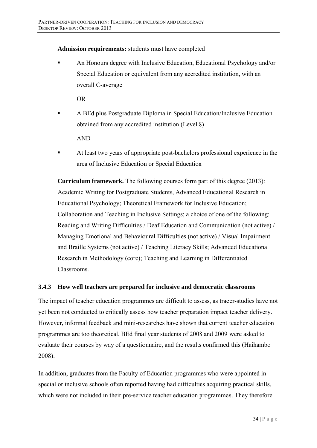# Admission requirements: students must have completed

An Honours degree with Inclusive Education, Educational Psychology and/or Special Education or equivalent from any accredited institution, with an overall C-average

 $OR$ 

A BEd plus Postgraduate Diploma in Special Education/Inclusive Education obtained from any accredited institution (Level 8)

**AND** 

At least two years of appropriate post-bachelors professional experience in the area of Inclusive Education or Special Education

**Curriculum framework.** The following courses form part of this degree (2013): Academic Writing for Postgraduate Students, Advanced Educational Research in Educational Psychology; Theoretical Framework for Inclusive Education; Collaboration and Teaching in Inclusive Settings; a choice of one of the following: Reading and Writing Difficulties / Deaf Education and Communication (not active) / Managing Emotional and Behavioural Difficulties (not active) / Visual Impairment and Braille Systems (not active) / Teaching Literacy Skills; Advanced Educational Research in Methodology (core); Teaching and Learning in Differentiated **Classrooms** 

#### $3.4.3$ How well teachers are prepared for inclusive and democratic classrooms

The impact of teacher education programmes are difficult to assess, as tracer-studies have not yet been not conducted to critically assess how teacher preparation impact teacher delivery. However, informal feedback and mini-researches have shown that current teacher education programmes are too theoretical. BEd final year students of 2008 and 2009 were asked to evaluate their courses by way of a questionnaire, and the results confirmed this (Haihambo 2008).

In addition, graduates from the Faculty of Education programmes who were appointed in special or inclusive schools often reported having had difficulties acquiring practical skills, which were not included in their pre-service teacher education programmes. They therefore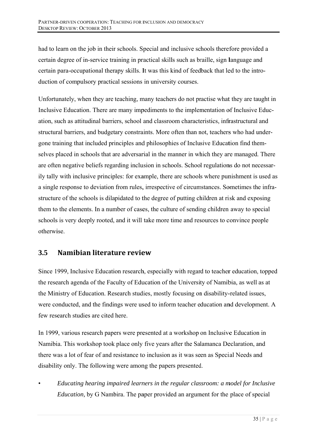had to learn on the job in their schools. Special and inclusive schools therefore provided a certain degree of in-service training in practical skills such as braille, sign language and certain para-occupational therapy skills. It was this kind of feedback that led to the introduction of compulsory practical sessions in university courses.

Unfortunately, when they are teaching, many teachers do not practise what they are taught in Inclusive Education. There are many impediments to the implementation of Inclusive Education, such as attitudinal barriers, school and classroom characteristics, infrastructural and structural barriers, and budgetary constraints. More often than not, teachers who had undergone training that included principles and philosophies of Inclusive Education find themselves placed in schools that are adversarial in the manner in which they are managed. There are often negative beliefs regarding inclusion in schools. School regulations do not necessarily tally with inclusive principles: for example, there are schools where punishment is used as a single response to deviation from rules, irrespective of circumstances. Sometimes the infrastructure of the schools is dilapidated to the degree of putting children at risk and exposing them to the elements. In a number of cases, the culture of sending children away to special schools is very deeply rooted, and it will take more time and resources to convince people otherwise.

## Namibian literature review  $3.5$

Since 1999, Inclusive Education research, especially with regard to teacher education, topped the research agenda of the Faculty of Education of the University of Namibia, as well as at the Ministry of Education. Research studies, mostly focusing on disability-related issues, were conducted, and the findings were used to inform teacher education and development. A few research studies are cited here.

In 1999, various research papers were presented at a workshop on Inclusive Education in Namibia. This workshop took place only five years after the Salamanca Declaration, and there was a lot of fear of and resistance to inclusion as it was seen as Special Needs and disability only. The following were among the papers presented.

Educating hearing impaired learners in the regular classroom: a model for Inclusive *Education*, by G Nambira. The paper provided an argument for the place of special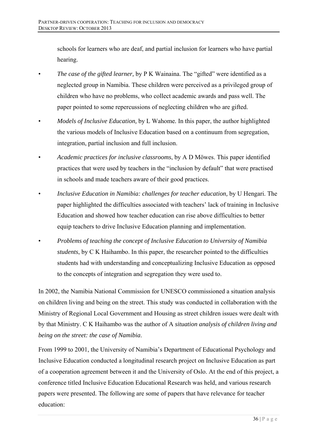schools for learners who are deaf, and partial inclusion for learners who have partial hearing.

- *The case of the gifted learner,* by P K Wainaina. The "gifted" were identified as a neglected group in Namibia. These children were perceived as a privileged group of children who have no problems, who collect academic awards and pass well. The paper pointed to some repercussions of neglecting children who are gifted.
- *Models of Inclusive Education,* by L Wahome*.* In this paper, the author highlighted the various models of Inclusive Education based on a continuum from segregation, integration, partial inclusion and full inclusion.
- *Academic practices for inclusive classrooms*, by A D Möwes. This paper identified practices that were used by teachers in the "inclusion by default" that were practised in schools and made teachers aware of their good practices.
- *Inclusive Education in Namibia: challenges for teacher education,* by U Hengari. The paper highlighted the difficulties associated with teachers' lack of training in Inclusive Education and showed how teacher education can rise above difficulties to better equip teachers to drive Inclusive Education planning and implementation.
- *Problems of teaching the concept of Inclusive Education to University of Namibia students*, by C K Haihambo. In this paper, the researcher pointed to the difficulties students had with understanding and conceptualizing Inclusive Education as opposed to the concepts of integration and segregation they were used to.

In 2002, the Namibia National Commission for UNESCO commissioned a situation analysis on children living and being on the street. This study was conducted in collaboration with the Ministry of Regional Local Government and Housing as street children issues were dealt with by that Ministry. C K Haihambo was the author of A *situation analysis of children living and being on the street: the case of Namibia*.

From 1999 to 2001, the University of Namibia's Department of Educational Psychology and Inclusive Education conducted a longitudinal research project on Inclusive Education as part of a cooperation agreement between it and the University of Oslo. At the end of this project, a conference titled Inclusive Education Educational Research was held, and various research papers were presented. The following are some of papers that have relevance for teacher education: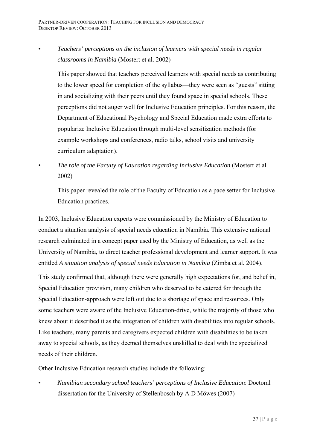• *Teachers' perceptions on the inclusion of learners with special needs in regular classrooms in Namibia* (Mostert et al. 2002)

This paper showed that teachers perceived learners with special needs as contributing to the lower speed for completion of the syllabus—they were seen as "guests" sitting in and socializing with their peers until they found space in special schools. These perceptions did not auger well for Inclusive Education principles. For this reason, the Department of Educational Psychology and Special Education made extra efforts to popularize Inclusive Education through multi-level sensitization methods (for example workshops and conferences, radio talks, school visits and university curriculum adaptation).

The role of the Faculty of Education regarding Inclusive Education (Mostert et al. 2002)

This paper revealed the role of the Faculty of Education as a pace setter for Inclusive Education practices.

In 2003, Inclusive Education experts were commissioned by the Ministry of Education to conduct a situation analysis of special needs education in Namibia. This extensive national research culminated in a concept paper used by the Ministry of Education, as well as the University of Namibia, to direct teacher professional development and learner support. It was entitled *A situation analysis of special needs Education in Namibia* (Zimba et al. 2004).

This study confirmed that, although there were generally high expectations for, and belief in, Special Education provision, many children who deserved to be catered for through the Special Education-approach were left out due to a shortage of space and resources. Only some teachers were aware of the Inclusive Education-drive, while the majority of those who knew about it described it as the integration of children with disabilities into regular schools. Like teachers, many parents and caregivers expected children with disabilities to be taken away to special schools, as they deemed themselves unskilled to deal with the specialized needs of their children.

Other Inclusive Education research studies include the following:

• *Namibian secondary school teachers' perceptions of Inclusive Education*: Doctoral dissertation for the University of Stellenbosch by A D Möwes (2007)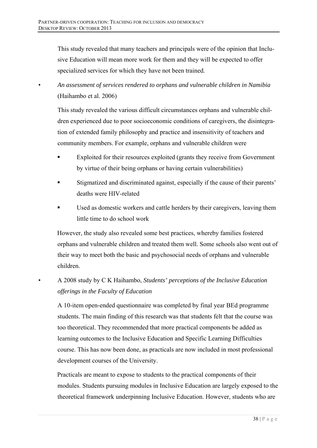This study revealed that many teachers and principals were of the opinion that Inclusive Education will mean more work for them and they will be expected to offer specialized services for which they have not been trained.

• *An assessment of services rendered to orphans and vulnerable children in Namibia*  (Haihambo et al. 2006)

This study revealed the various difficult circumstances orphans and vulnerable children experienced due to poor socioeconomic conditions of caregivers, the disintegration of extended family philosophy and practice and insensitivity of teachers and community members. For example, orphans and vulnerable children were

- Exploited for their resources exploited (grants they receive from Government by virtue of their being orphans or having certain vulnerabilities)
- Stigmatized and discriminated against, especially if the cause of their parents' deaths were HIV-related
- Used as domestic workers and cattle herders by their caregivers, leaving them little time to do school work

However, the study also revealed some best practices, whereby families fostered orphans and vulnerable children and treated them well. Some schools also went out of their way to meet both the basic and psychosocial needs of orphans and vulnerable children.

# • A 2008 study by C K Haihambo, *Students' perceptions of the Inclusive Education offerings in the Faculty of Education*

A 10-item open-ended questionnaire was completed by final year BEd programme students. The main finding of this research was that students felt that the course was too theoretical. They recommended that more practical components be added as learning outcomes to the Inclusive Education and Specific Learning Difficulties course. This has now been done, as practicals are now included in most professional development courses of the University.

Practicals are meant to expose to students to the practical components of their modules. Students pursuing modules in Inclusive Education are largely exposed to the theoretical framework underpinning Inclusive Education. However, students who are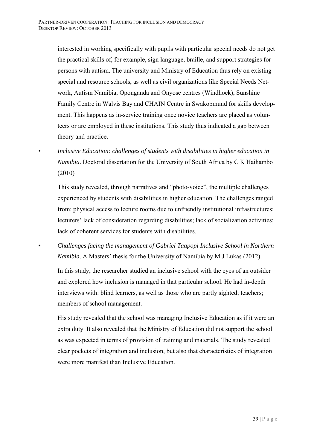interested in working specifically with pupils with particular special needs do not get the practical skills of, for example, sign language, braille, and support strategies for persons with autism. The university and Ministry of Education thus rely on existing special and resource schools, as well as civil organizations like Special Needs Network, Autism Namibia, Oponganda and Onyose centres (Windhoek), Sunshine Family Centre in Walvis Bay and CHAIN Centre in Swakopmund for skills development. This happens as in-service training once novice teachers are placed as volunteers or are employed in these institutions. This study thus indicated a gap between theory and practice.

• *Inclusive Education: challenges of students with disabilities in higher education in Namibia*. Doctoral dissertation for the University of South Africa by C K Haihambo (2010)

This study revealed, through narratives and "photo-voice", the multiple challenges experienced by students with disabilities in higher education. The challenges ranged from: physical access to lecture rooms due to unfriendly institutional infrastructures; lecturers' lack of consideration regarding disabilities; lack of socialization activities; lack of coherent services for students with disabilities.

• *Challenges facing the management of Gabriel Taapopi Inclusive School in Northern Namibia*. A Masters' thesis for the University of Namibia by M J Lukas (2012).

In this study, the researcher studied an inclusive school with the eyes of an outsider and explored how inclusion is managed in that particular school. He had in-depth interviews with: blind learners, as well as those who are partly sighted; teachers; members of school management.

His study revealed that the school was managing Inclusive Education as if it were an extra duty. It also revealed that the Ministry of Education did not support the school as was expected in terms of provision of training and materials. The study revealed clear pockets of integration and inclusion, but also that characteristics of integration were more manifest than Inclusive Education.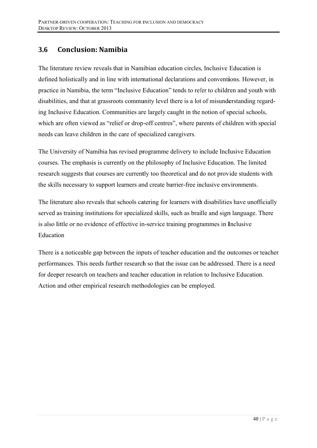## 3.6 **Conclusion: Namibia**

The literature review reveals that in Namibian education circles. Inclusive Education is defined holistically and in line with international declarations and conventions. However, in practice in Namibia, the term "Inclusive Education" tends to refer to children and youth with disabilities, and that at grassroots community level there is a lot of misunderstanding regarding Inclusive Education. Communities are largely caught in the notion of special schools, which are often viewed as "relief or drop-off centres", where parents of children with special needs can leave children in the care of specialized caregivers.

The University of Namibia has revised programme delivery to include Inclusive Education courses. The emphasis is currently on the philosophy of Inclusive Education. The limited research suggests that courses are currently too theoretical and do not provide students with the skills necessary to support learners and create barrier-free inclusive environments.

The literature also reveals that schools catering for learners with disabilities have unofficially served as training institutions for specialized skills, such as braille and sign language. There is also little or no evidence of effective in-service training programmes in Inclusive Education

There is a noticeable gap between the inputs of teacher education and the outcomes or teacher performances. This needs further research so that the issue can be addressed. There is a need for deeper research on teachers and teacher education in relation to Inclusive Education. Action and other empirical research methodologies can be employed.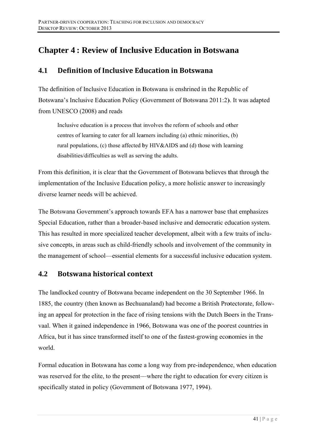# **Chapter 4: Review of Inclusive Education in Botswana**

### $4.1$ Definition of Inclusive Education in Botswana

The definition of Inclusive Education in Botswana is enshrined in the Republic of Botswana's Inclusive Education Policy (Government of Botswana 2011:2). It was adapted from UNESCO (2008) and reads

Inclusive education is a process that involves the reform of schools and other centres of learning to cater for all learners including (a) ethnic minorities, (b) rural populations, (c) those affected by HIV&AIDS and (d) those with learning disabilities/difficulties as well as serving the adults.

From this definition, it is clear that the Government of Botswana believes that through the implementation of the Inclusive Education policy, a more holistic answer to increasingly diverse learner needs will be achieved

The Botswana Government's approach towards EFA has a narrower base that emphasizes Special Education, rather than a broader-based inclusive and democratic education system. This has resulted in more specialized teacher development, albeit with a few traits of inclusive concepts, in areas such as child-friendly schools and involvement of the community in the management of school—essential elements for a successful inclusive education system.

### $4.2$ **Botswana historical context**

The landlocked country of Botswana became independent on the 30 September 1966. In 1885, the country (then known as Bechuanaland) had become a British Protectorate, following an appeal for protection in the face of rising tensions with the Dutch Boers in the Transvaal. When it gained independence in 1966, Botswana was one of the poorest countries in Africa, but it has since transformed itself to one of the fastest-growing economies in the world.

Formal education in Botswana has come a long way from pre-independence, when education was reserved for the elite, to the present—where the right to education for every citizen is specifically stated in policy (Government of Botswana 1977, 1994).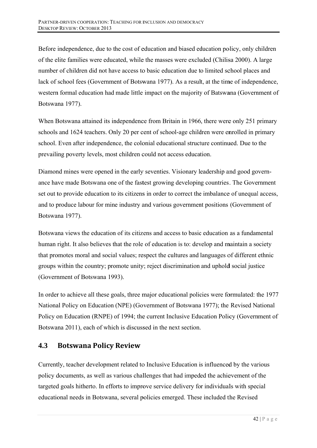Before independence, due to the cost of education and biased education policy, only children of the elite families were educated, while the masses were excluded (Chilisa 2000). A large number of children did not have access to basic education due to limited school places and lack of school fees (Government of Botswana 1977). As a result, at the time of independence, western formal education had made little impact on the majority of Batswana (Government of Botswana 1977).

When Botswana attained its independence from Britain in 1966, there were only 251 primary schools and 1624 teachers. Only 20 per cent of school-age children were enrolled in primary school. Even after independence, the colonial educational structure continued. Due to the prevailing poverty levels, most children could not access education.

Diamond mines were opened in the early seventies. Visionary leadership and good governance have made Botswana one of the fastest growing developing countries. The Government set out to provide education to its citizens in order to correct the imbalance of unequal access, and to produce labour for mine industry and various government positions (Government of Botswana 1977).

Botswana views the education of its citizens and access to basic education as a fundamental human right. It also believes that the role of education is to: develop and maintain a society that promotes moral and social values; respect the cultures and languages of different ethnic groups within the country; promote unity; reject discrimination and uphold social justice (Government of Botswana 1993).

In order to achieve all these goals, three major educational policies were formulated: the 1977 National Policy on Education (NPE) (Government of Botswana 1977); the Revised National Policy on Education (RNPE) of 1994; the current Inclusive Education Policy (Government of Botswana 2011), each of which is discussed in the next section.

### $4.3$ **Botswana Policy Review**

Currently, teacher development related to Inclusive Education is influenced by the various policy documents, as well as various challenges that had impeded the achievement of the targeted goals hitherto. In efforts to improve service delivery for individuals with special educational needs in Botswana, several policies emerged. These included the Revised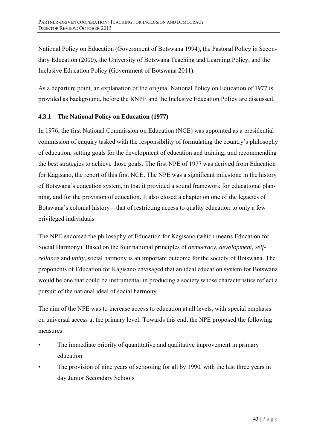National Policy on Education (Government of Botswana 1994), the Pastoral Policy in Secondary Education (2000), the University of Botswana Teaching and Learning Policy, and the Inclusive Education Policy (Government of Botswana 2011).

As a departure point, an explanation of the original National Policy on Education of 1977 is provided as background, before the RNPE and the Inclusive Education Policy are discussed.

# 4.3.1 The National Policy on Education (1977)

In 1976, the first National Commission on Education (NCE) was appointed as a presidential commission of enquiry tasked with the responsibility of formulating the country's philosophy of education, setting goals for the development of education and training, and recommending the best strategies to achieve those goals. The first NPE of 1977 was derived from Education for Kagisano, the report of this first NCE. The NPE was a significant milestone in the history of Botswana's education system, in that it provided a sound framework for educational planning, and for the provision of education. It also closed a chapter on one of the legacies of Botswana's colonial history—that of restricting access to quality education to only a few privileged individuals.

The NPE endorsed the philosophy of Education for Kagisano (which means Education for Social Harmony). Based on the four national principles of *democracy*, *development*, *selfreliance* and *unity*, social harmony is an important outcome for the society of Botswana. The proponents of Education for Kagisano envisaged that an ideal education system for Botswana would be one that could be instrumental in producing a society whose characteristics reflect a pursuit of the national ideal of social harmony.

The aim of the NPE was to increase access to education at all levels, with special emphasis on universal access at the primary level. Towards this end, the NPE proposed the following measures:

- The immediate priority of quantitative and qualitative improvement in primary education
- The provision of nine years of schooling for all by 1990, with the last three years in day Junior Secondary Schools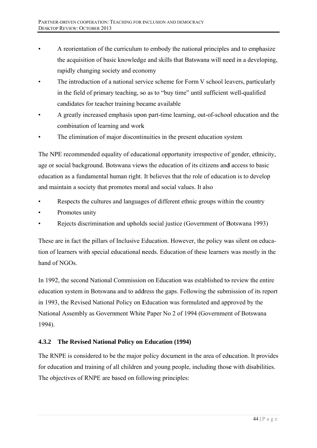- A reorientation of the curriculum to embody the national principles and to emphasize the acquisition of basic knowledge and skills that Batswana will need in a developing, rapidly changing society and economy
- The introduction of a national service scheme for Form V school leavers, particularly in the field of primary teaching, so as to "buy time" until sufficient well-qualified candidates for teacher training became available
- A greatly increased emphasis upon part-time learning, out-of-school education and the combination of learning and work
- The elimination of major discontinuities in the present education system

The NPE recommended equality of educational opportunity irrespective of gender, ethnicity, age or social background. Botswana views the education of its citizens and access to basic education as a fundamental human right. It believes that the role of education is to develop and maintain a society that promotes moral and social values. It also

- Respects the cultures and languages of different ethnic groups within the country
- Promotes unity  $\bullet$
- Rejects discrimination and upholds social justice (Government of Botswana 1993)

These are in fact the pillars of Inclusive Education. However, the policy was silent on education of learners with special educational needs. Education of these learners was mostly in the hand of NGOs

In 1992, the second National Commission on Education was established to review the entire education system in Botswana and to address the gaps. Following the submission of its report in 1993, the Revised National Policy on Education was formulated and approved by the National Assembly as Government White Paper No 2 of 1994 (Government of Botswana) 1994).

#### The Revised National Policy on Education (1994)  $4.3.2$

The RNPE is considered to be the major policy document in the area of education. It provides for education and training of all children and young people, including those with disabilities. The objectives of RNPE are based on following principles: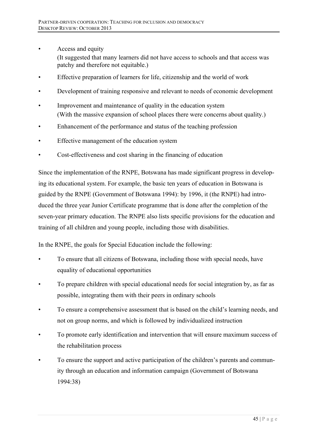- Access and equity (It suggested that many learners did not have access to schools and that access was
	- patchy and therefore not equitable.)
- Effective preparation of learners for life, citizenship and the world of work
- Development of training responsive and relevant to needs of economic development
- Improvement and maintenance of quality in the education system (With the massive expansion of school places there were concerns about quality.)
- Enhancement of the performance and status of the teaching profession
- Effective management of the education system
- Cost-effectiveness and cost sharing in the financing of education

Since the implementation of the RNPE, Botswana has made significant progress in developing its educational system. For example, the basic ten years of education in Botswana is guided by the RNPE (Government of Botswana 1994): by 1996, it (the RNPE) had introduced the three year Junior Certificate programme that is done after the completion of the seven-year primary education. The RNPE also lists specific provisions for the education and training of all children and young people, including those with disabilities.

In the RNPE, the goals for Special Education include the following:

- To ensure that all citizens of Botswana, including those with special needs, have equality of educational opportunities
- To prepare children with special educational needs for social integration by, as far as possible, integrating them with their peers in ordinary schools
- To ensure a comprehensive assessment that is based on the child's learning needs, and not on group norms, and which is followed by individualized instruction
- To promote early identification and intervention that will ensure maximum success of the rehabilitation process
- To ensure the support and active participation of the children's parents and community through an education and information campaign (Government of Botswana 1994:38)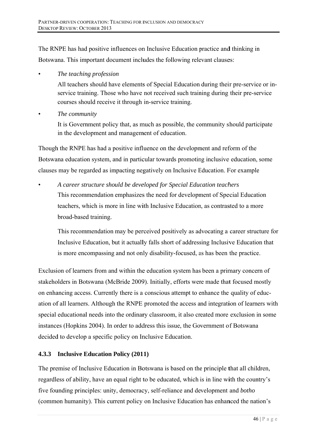The RNPE has had positive influences on Inclusive Education practice and thinking in Botswana. This important document includes the following relevant clauses:

The teaching profession

All teachers should have elements of Special Education during their pre-service or inservice training. Those who have not received such training during their pre-service courses should receive it through in-service training.

The community

It is Government policy that, as much as possible, the community should participate in the development and management of education.

Though the RNPE has had a positive influence on the development and reform of the Botswana education system, and in particular towards promoting inclusive education, some clauses may be regarded as impacting negatively on Inclusive Education. For example

A career structure should be developed for Special Education teachers This recommendation emphasizes the need for development of Special Education teachers, which is more in line with Inclusive Education, as contrasted to a more broad-based training.

This recommendation may be perceived positively as advocating a career structure for Inclusive Education, but it actually falls short of addressing Inclusive Education that is more encompassing and not only disability-focused, as has been the practice.

Exclusion of learners from and within the education system has been a primary concern of stakeholders in Botswana (McBride 2009). Initially, efforts were made that focused mostly on enhancing access. Currently there is a conscious attempt to enhance the quality of education of all learners. Although the RNPE promoted the access and integration of learners with special educational needs into the ordinary classroom, it also created more exclusion in some instances (Hopkins 2004). In order to address this issue, the Government of Botswana decided to develop a specific policy on Inclusive Education.

# 4.3.3 Inclusive Education Policy (2011)

The premise of Inclusive Education in Botswana is based on the principle that all children, regardless of ability, have an equal right to be educated, which is in line with the country's five founding principles: unity, democracy, self-reliance and development and *botho* (common humanity). This current policy on Inclusive Education has enhanced the nation's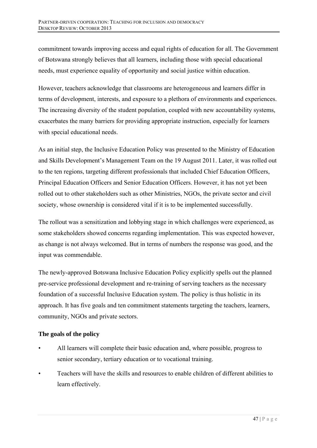commitment towards improving access and equal rights of education for all. The Government of Botswana strongly believes that all learners, including those with special educational needs, must experience equality of opportunity and social justice within education.

However, teachers acknowledge that classrooms are heterogeneous and learners differ in terms of development, interests, and exposure to a plethora of environments and experiences. The increasing diversity of the student population, coupled with new accountability systems, exacerbates the many barriers for providing appropriate instruction, especially for learners with special educational needs.

As an initial step, the Inclusive Education Policy was presented to the Ministry of Education and Skills Development's Management Team on the 19 August 2011. Later, it was rolled out to the ten regions, targeting different professionals that included Chief Education Officers, Principal Education Officers and Senior Education Officers. However, it has not yet been rolled out to other stakeholders such as other Ministries, NGOs, the private sector and civil society, whose ownership is considered vital if it is to be implemented successfully.

The rollout was a sensitization and lobbying stage in which challenges were experienced, as some stakeholders showed concerns regarding implementation. This was expected however, as change is not always welcomed. But in terms of numbers the response was good, and the input was commendable.

The newly-approved Botswana Inclusive Education Policy explicitly spells out the planned pre-service professional development and re-training of serving teachers as the necessary foundation of a successful Inclusive Education system. The policy is thus holistic in its approach. It has five goals and ten commitment statements targeting the teachers, learners, community, NGOs and private sectors.

# **The goals of the policy**

- All learners will complete their basic education and, where possible, progress to senior secondary, tertiary education or to vocational training.
- Teachers will have the skills and resources to enable children of different abilities to learn effectively.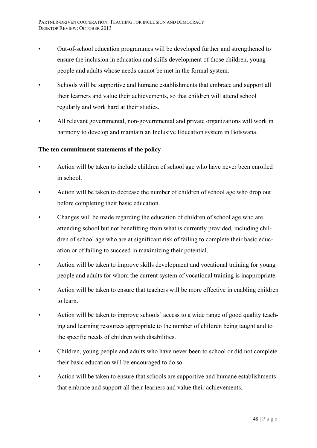- Out-of-school education programmes will be developed further and strengthened to ensure the inclusion in education and skills development of those children, young people and adults whose needs cannot be met in the formal system.
- Schools will be supportive and humane establishments that embrace and support all their learners and value their achievements, so that children will attend school regularly and work hard at their studies.
- All relevant governmental, non-governmental and private organizations will work in harmony to develop and maintain an Inclusive Education system in Botswana.

## **The ten commitment statements of the policy**

- Action will be taken to include children of school age who have never been enrolled in school.
- Action will be taken to decrease the number of children of school age who drop out before completing their basic education.
- Changes will be made regarding the education of children of school age who are attending school but not benefitting from what is currently provided, including children of school age who are at significant risk of failing to complete their basic education or of failing to succeed in maximizing their potential.
- Action will be taken to improve skills development and vocational training for young people and adults for whom the current system of vocational training is inappropriate.
- Action will be taken to ensure that teachers will be more effective in enabling children to learn.
- Action will be taken to improve schools' access to a wide range of good quality teaching and learning resources appropriate to the number of children being taught and to the specific needs of children with disabilities.
- Children, young people and adults who have never been to school or did not complete their basic education will be encouraged to do so.
- Action will be taken to ensure that schools are supportive and humane establishments that embrace and support all their learners and value their achievements.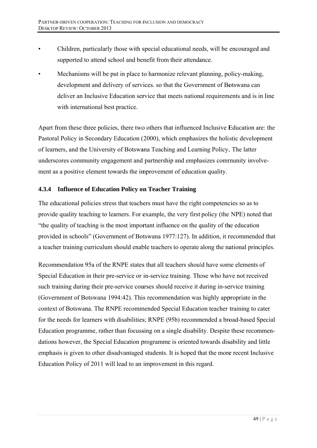- Children, particularly those with special educational needs, will be encouraged and supported to attend school and benefit from their attendance.
- Mechanisms will be put in place to harmonize relevant planning, policy-making, development and delivery of services, so that the Government of Botswana can deliver an Inclusive Education service that meets national requirements and is in line with international best practice.

Apart from these three policies, there two others that influenced Inclusive Education are: the Pastoral Policy in Secondary Education (2000), which emphasizes the holistic development of learners, and the University of Botswana Teaching and Learning Policy. The latter underscores community engagement and partnership and emphasizes community involvement as a positive element towards the improvement of education quality.

# 4.3.4 Influence of Education Policy on Teacher Training

The educational policies stress that teachers must have the right competencies so as to provide quality teaching to learners. For example, the very first policy (the NPE) noted that "the quality of teaching is the most important influence on the quality of the education provided in schools" (Government of Botswana 1977:127). In addition, it recommended that a teacher training curriculum should enable teachers to operate along the national principles.

Recommendation 95a of the RNPE states that all teachers should have some elements of Special Education in their pre-service or in-service training. Those who have not received such training during their pre-service courses should receive it during in-service training (Government of Botswana 1994:42). This recommendation was highly appropriate in the context of Botswana. The RNPE recommended Special Education teacher training to cater for the needs for learners with disabilities; RNPE (95b) recommended a broad-based Special Education programme, rather than focussing on a single disability. Despite these recommendations however, the Special Education programme is oriented towards disability and little emphasis is given to other disadvantaged students. It is hoped that the more recent Inclusive Education Policy of 2011 will lead to an improvement in this regard.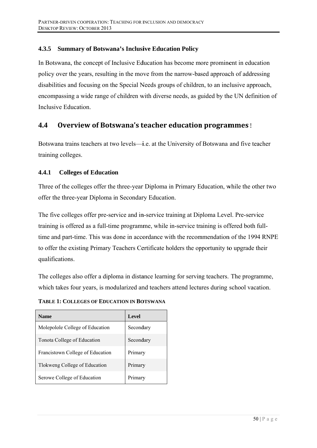#### $4.3.5$ **Summary of Botswana's Inclusive Education Policy**

In Botswana, the concept of Inclusive Education has become more prominent in education policy over the years, resulting in the move from the narrow-based approach of addressing disabilities and focusing on the Special Needs groups of children, to an inclusive approach, encompassing a wide range of children with diverse needs, as guided by the UN definition of Inclusive Education

### $4.4$ Overview of Botswana's teacher education programmes!

Botswana trains teachers at two levels—i.e. at the University of Botswana and five teacher training colleges.

#### $4.4.1$ **Colleges of Education**

Three of the colleges offer the three-year Diploma in Primary Education, while the other two offer the three-year Diploma in Secondary Education.

The five colleges offer pre-service and in-service training at Diploma Level. Pre-service training is offered as a full-time programme, while in-service training is offered both fulltime and part-time. This was done in accordance with the recommendation of the 1994 RNPE to offer the existing Primary Teachers Certificate holders the opportunity to upgrade their qualifications.

The colleges also offer a diploma in distance learning for serving teachers. The programme, which takes four years, is modularized and teachers attend lectures during school vacation.

**Name** Level Molepolole College of Education Secondary Tonota College of Education Secondary Francistown College of Education Primary Tlokweng College of Education Primary Serowe College of Education Primary

**TABLE 1: COLLEGES OF EDUCATION IN BOTSWANA**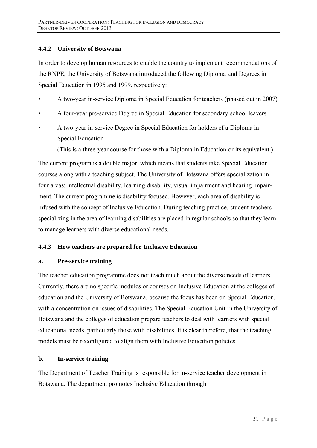#### $4.4.2$ **University of Botswana**

In order to develop human resources to enable the country to implement recommendations of the RNPE, the University of Botswana introduced the following Diploma and Degrees in Special Education in 1995 and 1999, respectively:

- A two-year in-service Diploma in Special Education for teachers (phased out in 2007)
- A four-year pre-service Degree in Special Education for secondary school leavers
- A two-year in-service Degree in Special Education for holders of a Diploma in **Special Education**

(This is a three-year course for those with a Diploma in Education or its equivalent.)

The current program is a double major, which means that students take Special Education courses along with a teaching subject. The University of Botswana offers specialization in four areas: intellectual disability, learning disability, visual impairment and hearing impairment. The current programme is disability focused. However, each area of disability is infused with the concept of Inclusive Education. During teaching practice, student-teachers specializing in the area of learning disabilities are placed in regular schools so that they learn to manage learners with diverse educational needs.

#### $4.4.3$ How teachers are prepared for Inclusive Education

#### $a.$ **Pre-service training**

The teacher education programme does not teach much about the diverse needs of learners. Currently, there are no specific modules or courses on Inclusive Education at the colleges of education and the University of Botswana, because the focus has been on Special Education, with a concentration on issues of disabilities. The Special Education Unit in the University of Botswana and the colleges of education prepare teachers to deal with learners with special educational needs, particularly those with disabilities. It is clear therefore, that the teaching models must be reconfigured to align them with Inclusive Education policies.

#### $\mathbf{h}$ . In-service training

The Department of Teacher Training is responsible for in-service teacher development in Botswana. The department promotes Inclusive Education through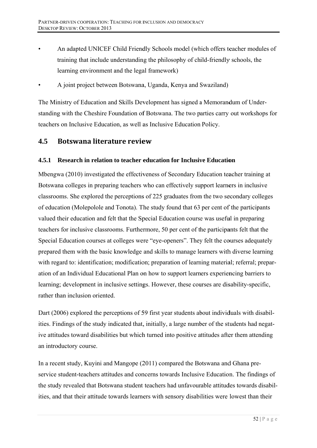- An adapted UNICEF Child Friendly Schools model (which offers teacher modules of training that include understanding the philosophy of child-friendly schools, the learning environment and the legal framework)
- A joint project between Botswana, Uganda, Kenya and Swaziland)

The Ministry of Education and Skills Development has signed a Memorandum of Understanding with the Cheshire Foundation of Botswana. The two parties carry out workshops for teachers on Inclusive Education, as well as Inclusive Education Policy.

### $4.5$ **Botswana literature review**

#### $4.5.1$ Research in relation to teacher education for Inclusive Education

Mbengwa (2010) investigated the effectiveness of Secondary Education teacher training at Botswana colleges in preparing teachers who can effectively support learners in inclusive classrooms. She explored the perceptions of 225 graduates from the two secondary colleges of education (Molepolole and Tonota). The study found that 63 per cent of the participants valued their education and felt that the Special Education course was useful in preparing teachers for inclusive classrooms. Furthermore, 50 per cent of the participants felt that the Special Education courses at colleges were "eye-openers". They felt the courses adequately prepared them with the basic knowledge and skills to manage learners with diverse learning with regard to: identification; modification; preparation of learning material; referral; preparation of an Individual Educational Plan on how to support learners experiencing barriers to learning; development in inclusive settings. However, these courses are disability-specific, rather than inclusion oriented.

Dart (2006) explored the perceptions of 59 first year students about individuals with disabilities. Findings of the study indicated that, initially, a large number of the students had negative attitudes toward disabilities but which turned into positive attitudes after them attending an introductory course.

In a recent study, Kuyini and Mangope (2011) compared the Botswana and Ghana preservice student-teachers attitudes and concerns towards Inclusive Education. The findings of the study revealed that Botswana student teachers had unfavourable attitudes towards disabilities, and that their attitude towards learners with sensory disabilities were lowest than their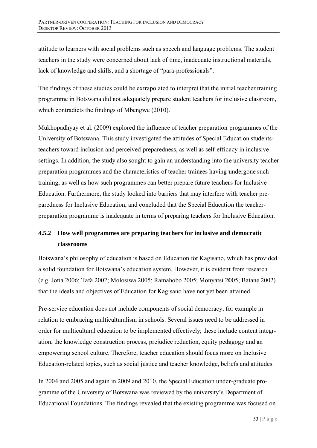attitude to learners with social problems such as speech and language problems. The student teachers in the study were concerned about lack of time, inadequate instructional materials, lack of knowledge and skills, and a shortage of "para-professionals".

The findings of these studies could be extrapolated to interpret that the initial teacher training programme in Botswana did not adequately prepare student teachers for inclusive classroom, which contradicts the findings of Mbengwe (2010).

Mukhopadhyay et al. (2009) explored the influence of teacher preparation programmes of the University of Botswana. This study investigated the attitudes of Special Education studentsteachers toward inclusion and perceived preparedness, as well as self-efficacy in inclusive settings. In addition, the study also sought to gain an understanding into the university teacher preparation programmes and the characteristics of teacher trainees having undergone such training, as well as how such programmes can better prepare future teachers for Inclusive Education. Furthermore, the study looked into barriers that may interfere with teacher preparedness for Inclusive Education, and concluded that the Special Education the teacherpreparation programme is inadequate in terms of preparing teachers for Inclusive Education.

# 4.5.2 How well programmes are preparing teachers for inclusive and democratic classrooms

Botswana's philosophy of education is based on Education for Kagisano, which has provided a solid foundation for Botswana's education system. However, it is evident from research (e.g. Jotia 2006; Tafa 2002; Molosiwa 2005; Ramahobo 2005; Monyatsi 2005; Batane 2002) that the ideals and objectives of Education for Kagisano have not vet been attained.

Pre-service education does not include components of social democracy, for example in relation to embracing multiculturalism in schools. Several issues need to be addressed in order for multicultural education to be implemented effectively; these include content integration, the knowledge construction process, prejudice reduction, equity pedagogy and an empowering school culture. Therefore, teacher education should focus more on Inclusive Education-related topics, such as social justice and teacher knowledge, beliefs and attitudes.

In 2004 and 2005 and again in 2009 and 2010, the Special Education under-graduate programme of the University of Botswana was reviewed by the university's Department of Educational Foundations. The findings revealed that the existing programme was focused on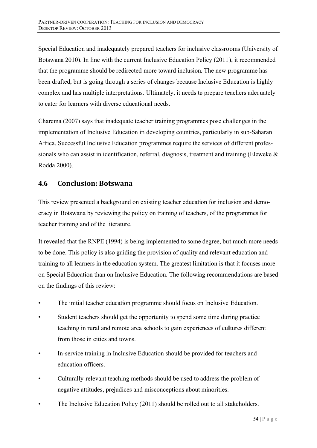Special Education and inadequately prepared teachers for inclusive classrooms (University of Botswana 2010). In line with the current Inclusive Education Policy (2011), it recommended that the programme should be redirected more toward inclusion. The new programme has been drafted, but is going through a series of changes because Inclusive Education is highly complex and has multiple interpretations. Ultimately, it needs to prepare teachers adequately to cater for learners with diverse educational needs.

Charema (2007) says that inadequate teacher training programmes pose challenges in the implementation of Inclusive Education in developing countries, particularly in sub-Saharan Africa. Successful Inclusive Education programmes require the services of different professionals who can assist in identification, referral, diagnosis, treatment and training (Eleweke  $\&$ Rodda 2000).

### 4.6 **Conclusion: Botswana**

This review presented a background on existing teacher education for inclusion and democracy in Botswana by reviewing the policy on training of teachers, of the programmes for teacher training and of the literature.

It revealed that the RNPE (1994) is being implemented to some degree, but much more needs to be done. This policy is also guiding the provision of quality and relevant education and training to all learners in the education system. The greatest limitation is that it focuses more on Special Education than on Inclusive Education. The following recommendations are based on the findings of this review:

- The initial teacher education programme should focus on Inclusive Education.
- Student teachers should get the opportunity to spend some time during practice teaching in rural and remote area schools to gain experiences of cultures different from those in cities and towns.
- In-service training in Inclusive Education should be provided for teachers and education officers
- Culturally-relevant teaching methods should be used to address the problem of negative attitudes, prejudices and misconceptions about minorities.
- The Inclusive Education Policy (2011) should be rolled out to all stakeholders.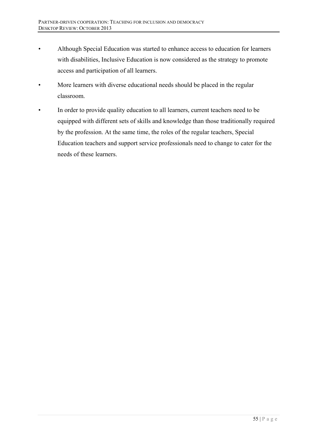- Although Special Education was started to enhance access to education for learners with disabilities, Inclusive Education is now considered as the strategy to promote access and participation of all learners.
- More learners with diverse educational needs should be placed in the regular classroom.
- In order to provide quality education to all learners, current teachers need to be equipped with different sets of skills and knowledge than those traditionally required by the profession. At the same time, the roles of the regular teachers, Special Education teachers and support service professionals need to change to cater for the needs of these learners.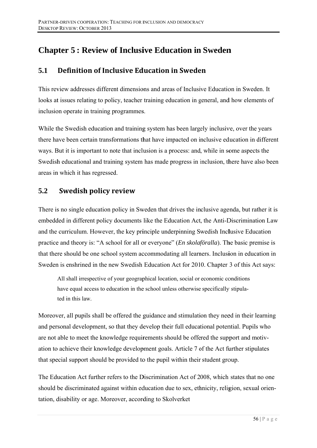# **Chapter 5: Review of Inclusive Education in Sweden**

### $5.1$ Definition of Inclusive Education in Sweden

This review addresses different dimensions and areas of Inclusive Education in Sweden. It looks at issues relating to policy, teacher training education in general, and how elements of inclusion operate in training programmes.

While the Swedish education and training system has been largely inclusive, over the years there have been certain transformations that have impacted on inclusive education in different ways. But it is important to note that inclusion is a process: and, while in some aspects the Swedish educational and training system has made progress in inclusion, there have also been areas in which it has regressed.

### $5.2$ **Swedish policy review**

There is no single education policy in Sweden that drives the inclusive agenda, but rather it is embedded in different policy documents like the Education Act, the Anti-Discrimination Law and the curriculum. However, the key principle underpinning Swedish Inclusive Education practice and theory is: "A school for all or everyone" (*En skolaföralla*). The basic premise is that there should be one school system accommodating all learners. Inclusion in education in Sweden is enshrined in the new Swedish Education Act for 2010. Chapter 3 of this Act says:

All shall irrespective of your geographical location, social or economic conditions have equal access to education in the school unless otherwise specifically stipulated in this law.

Moreover, all pupils shall be offered the guidance and stimulation they need in their learning and personal development, so that they develop their full educational potential. Pupils who are not able to meet the knowledge requirements should be offered the support and motivation to achieve their knowledge development goals. Article 7 of the Act further stipulates that special support should be provided to the pupil within their student group.

The Education Act further refers to the Discrimination Act of 2008, which states that no one should be discriminated against within education due to sex, ethnicity, religion, sexual orientation, disability or age. Moreover, according to Skolverket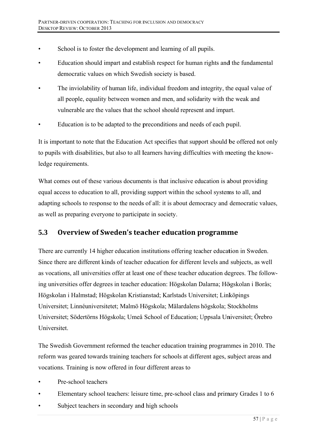- School is to foster the development and learning of all pupils.
- Education should impart and establish respect for human rights and the fundamental democratic values on which Swedish society is based.
- The inviolability of human life, individual freedom and integrity, the equal value of all people, equality between women and men, and solidarity with the weak and vulnerable are the values that the school should represent and impart.
- Education is to be adapted to the preconditions and needs of each pupil.

It is important to note that the Education Act specifies that support should be offered not only to pupils with disabilities, but also to all learners having difficulties with meeting the knowledge requirements.

What comes out of these various documents is that inclusive education is about providing equal access to education to all, providing support within the school systems to all, and adapting schools to response to the needs of all: it is about democracy and democratic values, as well as preparing everyone to participate in society.

### $5.3$ Overview of Sweden's teacher education programme

There are currently 14 higher education institutions offering teacher education in Sweden. Since there are different kinds of teacher education for different levels and subjects, as well as vocations, all universities offer at least one of these teacher education degrees. The following universities offer degrees in teacher education: Högskolan Dalarna; Högskolan i Borås; Högskolan i Halmstad: Högskolan Kristianstad: Karlstads Universitet: Linköpings Universitet; Linnéuniversitetet; Malmö Högskola; Mälardalens högskola; Stockholms Universitet; Södertörns Högskola; Umeå School of Education; Uppsala Universitet; Örebro Universitet.

The Swedish Government reformed the teacher education training programmes in 2010. The reform was geared towards training teachers for schools at different ages, subject areas and vocations. Training is now offered in four different areas to

- Pre-school teachers
- Elementary school teachers: leisure time, pre-school class and primary Grades 1 to 6
- Subject teachers in secondary and high schools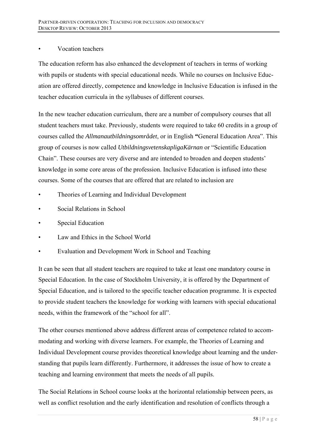# • Vocation teachers

The education reform has also enhanced the development of teachers in terms of working with pupils or students with special educational needs. While no courses on Inclusive Education are offered directly, competence and knowledge in Inclusive Education is infused in the teacher education curricula in the syllabuses of different courses.

In the new teacher education curriculum, there are a number of compulsory courses that all student teachers must take. Previously, students were required to take 60 credits in a group of courses called the *Allmanautbildningsområdet*, or in English **"**General Education Area". This group of courses is now called *UtbildningsvetenskapligaKärnan* or "Scientific Education Chain". These courses are very diverse and are intended to broaden and deepen students' knowledge in some core areas of the profession. Inclusive Education is infused into these courses. Some of the courses that are offered that are related to inclusion are

- Theories of Learning and Individual Development
- Social Relations in School
- Special Education
- Law and Ethics in the School World
- Evaluation and Development Work in School and Teaching

It can be seen that all student teachers are required to take at least one mandatory course in Special Education. In the case of Stockholm University, it is offered by the Department of Special Education, and is tailored to the specific teacher education programme. It is expected to provide student teachers the knowledge for working with learners with special educational needs, within the framework of the "school for all".

The other courses mentioned above address different areas of competence related to accommodating and working with diverse learners. For example, the Theories of Learning and Individual Development course provides theoretical knowledge about learning and the understanding that pupils learn differently. Furthermore, it addresses the issue of how to create a teaching and learning environment that meets the needs of all pupils.

The Social Relations in School course looks at the horizontal relationship between peers, as well as conflict resolution and the early identification and resolution of conflicts through a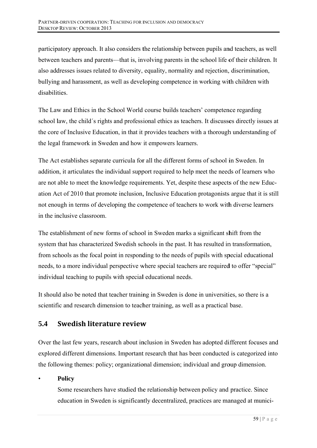participatory approach. It also considers the relationship between pupils and teachers, as well between teachers and parents—that is, involving parents in the school life of their children. It also addresses issues related to diversity, equality, normality and rejection, discrimination, bullying and harassment, as well as developing competence in working with children with disabilities

The Law and Ethics in the School World course builds teachers' competence regarding school law, the child's rights and professional ethics as teachers. It discusses directly issues at the core of Inclusive Education, in that it provides teachers with a thorough understanding of the legal framework in Sweden and how it empowers learners.

The Act establishes separate curricula for all the different forms of school in Sweden. In addition, it articulates the individual support required to help meet the needs of learners who are not able to meet the knowledge requirements. Yet, despite these aspects of the new Education Act of 2010 that promote inclusion, Inclusive Education protagonists argue that it is still not enough in terms of developing the competence of teachers to work with diverse learners in the inclusive classroom.

The establishment of new forms of school in Sweden marks a significant shift from the system that has characterized Swedish schools in the past. It has resulted in transformation, from schools as the focal point in responding to the needs of pupils with special educational needs, to a more individual perspective where special teachers are required to offer "special" individual teaching to pupils with special educational needs.

It should also be noted that teacher training in Sweden is done in universities, so there is a scientific and research dimension to teacher training, as well as a practical base.

## $5.4$ **Swedish literature review**

Over the last few years, research about inclusion in Sweden has adopted different focuses and explored different dimensions. Important research that has been conducted is categorized into the following themes: policy; organizational dimension; individual and group dimension.

# **Policy**

Some researchers have studied the relationship between policy and practice. Since education in Sweden is significantly decentralized, practices are managed at munici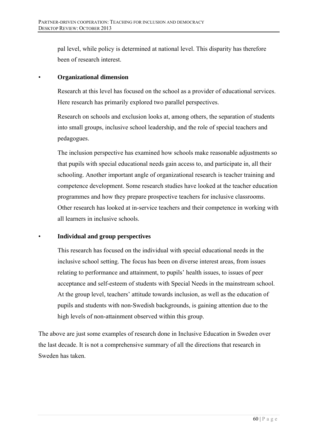pal level, while policy is determined at national level. This disparity has therefore been of research interest.

# • **Organizational dimension**

Research at this level has focused on the school as a provider of educational services. Here research has primarily explored two parallel perspectives.

Research on schools and exclusion looks at, among others, the separation of students into small groups, inclusive school leadership, and the role of special teachers and pedagogues.

The inclusion perspective has examined how schools make reasonable adjustments so that pupils with special educational needs gain access to, and participate in, all their schooling. Another important angle of organizational research is teacher training and competence development. Some research studies have looked at the teacher education programmes and how they prepare prospective teachers for inclusive classrooms. Other research has looked at in-service teachers and their competence in working with all learners in inclusive schools.

# • **Individual and group perspectives**

This research has focused on the individual with special educational needs in the inclusive school setting. The focus has been on diverse interest areas, from issues relating to performance and attainment, to pupils' health issues, to issues of peer acceptance and self-esteem of students with Special Needs in the mainstream school. At the group level, teachers' attitude towards inclusion, as well as the education of pupils and students with non-Swedish backgrounds, is gaining attention due to the high levels of non-attainment observed within this group.

The above are just some examples of research done in Inclusive Education in Sweden over the last decade. It is not a comprehensive summary of all the directions that research in Sweden has taken.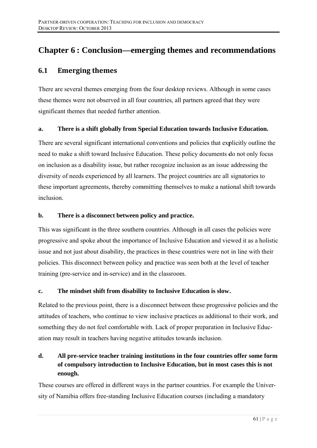# **Chapter 6: Conclusion—emerging themes and recommendations**

### $6.1$ **Emerging themes**

There are several themes emerging from the four desktop reviews. Although in some cases these themes were not observed in all four countries, all partners agreed that they were significant themes that needed further attention.

#### There is a shift globally from Special Education towards Inclusive Education.  $a_{\cdot}$

There are several significant international conventions and policies that explicitly outline the need to make a shift toward Inclusive Education. These policy documents do not only focus on inclusion as a disability issue, but rather recognize inclusion as an issue addressing the diversity of needs experienced by all learners. The project countries are all signatories to these important agreements, thereby committing themselves to make a national shift towards inclusion.

#### $\mathbf{h}$ . There is a disconnect between policy and practice.

This was significant in the three southern countries. Although in all cases the policies were progressive and spoke about the importance of Inclusive Education and viewed it as a holistic issue and not just about disability, the practices in these countries were not in line with their policies. This disconnect between policy and practice was seen both at the level of teacher training (pre-service and in-service) and in the classroom.

#### $\mathbf{c}$ . The mindset shift from disability to Inclusive Education is slow.

Related to the previous point, there is a disconnect between these progressive policies and the attitudes of teachers, who continue to view inclusive practices as additional to their work, and something they do not feel comfortable with. Lack of proper preparation in Inclusive Education may result in teachers having negative attitudes towards inclusion.

## d. All pre-service teacher training institutions in the four countries offer some form of compulsory introduction to Inclusive Education, but in most cases this is not enough.

These courses are offered in different ways in the partner countries. For example the University of Namibia offers free-standing Inclusive Education courses (including a mandatory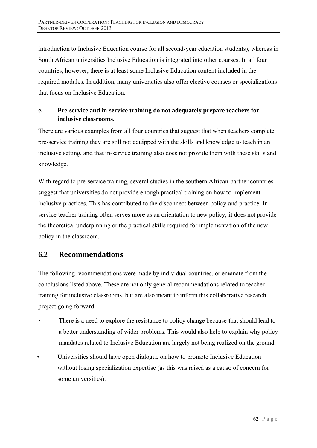introduction to Inclusive Education course for all second-year education students), whereas in South African universities Inclusive Education is integrated into other courses. In all four countries, however, there is at least some Inclusive Education content included in the required modules. In addition, many universities also offer elective courses or specializations that focus on Inclusive Education.

## Pre-service and in-service training do not adequately prepare teachers for e. inclusive classrooms.

There are various examples from all four countries that suggest that when teachers complete pre-service training they are still not equipped with the skills and knowledge to teach in an inclusive setting, and that in-service training also does not provide them with these skills and knowledge.

With regard to pre-service training, several studies in the southern African partner countries suggest that universities do not provide enough practical training on how to implement inclusive practices. This has contributed to the disconnect between policy and practice. Inservice teacher training often serves more as an orientation to new policy; it does not provide the theoretical underpinning or the practical skills required for implementation of the new policy in the classroom.

## **Recommendations**  $6.2$

The following recommendations were made by individual countries, or emanate from the conclusions listed above. These are not only general recommendations related to teacher training for inclusive classrooms, but are also meant to inform this collaborative research project going forward.

- There is a need to explore the resistance to policy change because that should lead to a better understanding of wider problems. This would also help to explain why policy mandates related to Inclusive Education are largely not being realized on the ground.
- Universities should have open dialogue on how to promote Inclusive Education without losing specialization expertise (as this was raised as a cause of concern for some universities).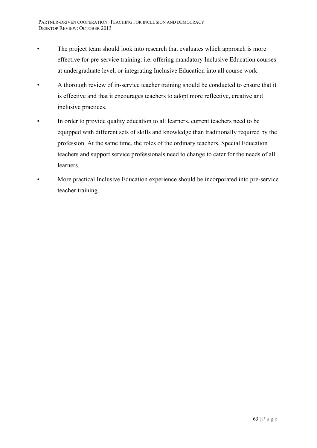- The project team should look into research that evaluates which approach is more effective for pre-service training: i.e. offering mandatory Inclusive Education courses at undergraduate level, or integrating Inclusive Education into all course work.
- A thorough review of in-service teacher training should be conducted to ensure that it is effective and that it encourages teachers to adopt more reflective, creative and inclusive practices.
- In order to provide quality education to all learners, current teachers need to be equipped with different sets of skills and knowledge than traditionally required by the profession. At the same time, the roles of the ordinary teachers, Special Education teachers and support service professionals need to change to cater for the needs of all learners.
- More practical Inclusive Education experience should be incorporated into pre-service teacher training.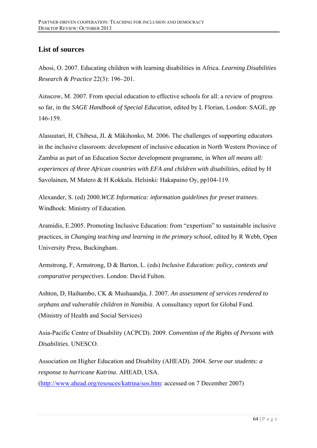# **List of sources**

Abosi, O. 2007. Educating children with learning disabilities in Africa. *Learning Disabilities Research & Practice* 22(3): 196–201.

Ainscow, M. 2007. From special education to effective schools for all: a review of progress so far, in the *SAGE Handbook of Special Education,* edited by L Florian, London: SAGE, pp 146-159.

Alasuutari, H, Chibesa, JL & Mäkihonko, M. 2006. The challenges of supporting educators in the inclusive classroom: development of inclusive education in North Western Province of Zambia as part of an Education Sector development programme, in *When all means all:*  experiences of three African countries with EFA and children with disabilities, edited by H Savolainen, M Matero & H Kokkala. Helsinki: Hakapaino Oy, pp104-119.

Alexander, S. (ed) 2000.*WCE Informatica: information guidelines for preset trainees*. Windhoek: Ministry of Education.

Aramidis, E.2005. Promoting Inclusive Education: from "expertism" to sustainable inclusive practices, in *Changing teaching and learning in the primary school,* edited by R Webb, Open University Press, Buckingham.

Armstrong, F, Armstrong, D & Barton, L. (eds) *Inclusive Education: policy, contexts and comparative perspectives.* London: David Fulton.

Ashton, D, Haihambo, CK & Mushaandja, J. 2007*. An assessment of services rendered to orphans and vulnerable children in Namibia*. A consultancy report for Global Fund. (Ministry of Health and Social Services)

Asia-Pacific Centre of Disability (ACPCD). 2009. *Convention of the Rights of Persons with Disabilities.* UNESCO.

Association on Higher Education and Disability (AHEAD). 2004. *Serve our students: a response to hurricane Katrina*. AHEAD, USA. (http://www.ahead.org/resouces/katrina/sos.htm: accessed on 7 December 2007)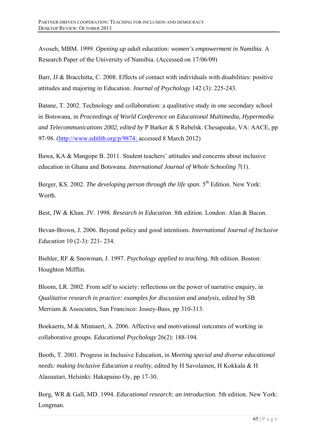Avoseh, MBM. 1999. *Opening up adult education: women's empowerment in Namibia*. A Research Paper of the University of Namibia. (Accessed on 17/06/09)

Barr, JJ & Bracchitta, C. 2008. Effects of contact with individuals with disabilities: positive attitudes and majoring in Education. *Journal of Psychology* 142 (3): 225-243.

Batane, T. 2002. Technology and collaboration: a qualitative study in one secondary school in Botswana, in *Proceedings of World Conference on Educational Multimedia, Hypermedia and Telecommunications 2002, edited by* P Barker & S Rebelsk. Chesapeake, VA: AACE, pp 97-98. (http://www.editlib.org/p/9874: accessed 8 March 2012)

Bawa, KA & Mangope B. 2011. Student teachers' attitudes and concerns about inclusive education in Ghana and Botswana. *International Journal of Whole Schooling 7*(1).

Berger, KS. 2002. *The developing person through the life span*. 5<sup>th</sup> Edition. New York: Worth.

Best, JW & Khan. JV. 1998. *Research in Education*. 8th edition. London: Alan & Bacon.

Bevan-Brown, J. 2006. Beyond policy and good intentions. *International Journal of Inclusive Education* 10 (2-3): 221- 234.

Biehler, RF & Snowman, J. 1997. *Psychology applied to teaching.* 8th edition. Boston: Houghton Mifflin.

Bloom, LR. 2002. From self to society: reflections on the power of narrative enquiry, in *Qualitative research in practice: examples for discussion and analysis,* edited by SB Merriam & Associates, San Francisco: Jossey-Bass, pp 310-313.

Boekaerts, M & Minnaert, A. 2006. Affective and motivational outcomes of working in collaborative groups. *Educational Psychology* 26(2): 188-194.

Booth, T. 2001. Progress in Inclusive Education, in *Meeting special and diverse educational needs: making Inclusive Education a reality*, edited by H Savolainen, H Kokkala & H Alasuutari, Helsinki: Hakapaino Oy, pp 17-30.

Borg, WR & Gall, MD. 1994*. Educational research: an introduction.* 5th edition. New York: Longman.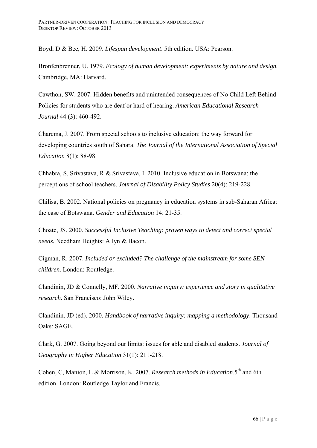Boyd, D & Bee, H. 2009. *Lifespan development*. 5th edition. USA: Pearson.

Bronfenbrenner, U. 1979. *Ecology of human development: experiments by nature and design.* Cambridge, MA: Harvard.

Cawthon, SW. 2007. Hidden benefits and unintended consequences of No Child Left Behind Policies for students who are deaf or hard of hearing. *American Educational Research Journal* 44 (3): 460-492.

Charema, J. 2007. From special schools to inclusive education: the way forward for developing countries south of Sahara. *The Journal of the International Association of Special Education* 8(1): 88-98.

Chhabra, S, Srivastava, R & Srivastava, I. 2010. Inclusive education in Botswana: the perceptions of school teachers. *Journal of Disability Policy Studies* 20(4): 219-228.

Chilisa, B. 2002. National policies on pregnancy in education systems in sub-Saharan Africa: the case of Botswana. *Gender and Education* 14: 21-35.

Choate, JS. 2000. *Successful Inclusive Teaching: proven ways to detect and correct special needs.* Needham Heights: Allyn & Bacon.

Cigman, R. 2007. *Included or excluded? The challenge of the mainstream for some SEN children.* London: Routledge.

Clandinin, JD & Connelly, MF. 2000. *Narrative inquiry: experience and story in qualitative research*. San Francisco: John Wiley.

Clandinin, JD (ed). 2000. *Handbook of narrative inquiry: mapping a methodology*. Thousand Oaks: SAGE.

Clark, G. 2007. Going beyond our limits: issues for able and disabled students. *Journal of Geography in Higher Education* 31(1): 211-218.

Cohen, C, Manion, L & Morrison, K. 2007. *Research methods in Education*.5<sup>th</sup> and 6th edition. London: Routledge Taylor and Francis.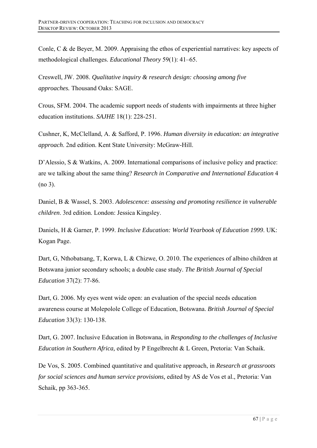Conle, C & de Beyer, M. 2009. Appraising the ethos of experiential narratives: key aspects of methodological challenges. *Educational Theory* 59(1): 41–65.

Creswell, JW. 2008. *Qualitative inquiry & research design: choosing among five approaches.* Thousand Oaks: SAGE.

Crous, SFM. 2004. The academic support needs of students with impairments at three higher education institutions. *SAJHE* 18(1): 228-251.

Cushner, K, McClelland, A. & Safford, P. 1996. *Human diversity in education: an integrative approach*. 2nd edition. Kent State University: McGraw-Hill.

D'Alessio, S & Watkins, A. 2009. International comparisons of inclusive policy and practice: are we talking about the same thing? *Research in Comparative and International Education* 4 (no 3).

Daniel, B & Wassel, S. 2003. *Adolescence: assessing and promoting resilience in vulnerable children*. 3rd edition. London: Jessica Kingsley.

Daniels, H & Garner, P. 1999. *Inclusive Education: World Yearbook of Education 1999*. UK: Kogan Page.

Dart, G, Nthobatsang, T, Korwa, L & Chizwe, O. 2010. The experiences of albino children at Botswana junior secondary schools; a double case study. *The British Journal of Special Education* 37(2): 77-86.

Dart, G. 2006. My eyes went wide open: an evaluation of the special needs education awareness course at Molepolole College of Education, Botswana. *British Journal of Special Education* 33(3): 130-138.

Dart, G. 2007. Inclusive Education in Botswana, in *Responding to the challenges of Inclusive Education in Southern Africa,* edited by P Engelbrecht & L Green, Pretoria: Van Schaik.

De Vos, S. 2005. Combined quantitative and qualitative approach, in *Research at grassroots for social sciences and human service provisions,* edited by AS de Vos et al., Pretoria: Van Schaik, pp 363-365.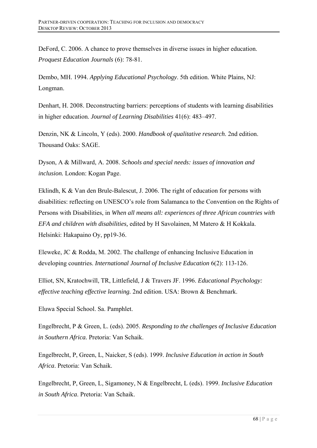DeFord, C. 2006. A chance to prove themselves in diverse issues in higher education. *Proquest Education Journals* (6): 78-81.

Dembo, MH. 1994. *Applying Educational Psychology*. 5th edition. White Plains, NJ: Longman.

Denhart, H. 2008. Deconstructing barriers: perceptions of students with learning disabilities in higher education. *Journal of Learning Disabilities* 41(6): 483–497.

Denzin, NK & Lincoln, Y (eds). 2000. *Handbook of qualitative research*. 2nd edition. Thousand Oaks: SAGE.

Dyson, A & Millward, A. 2008. *Schools and special needs: issues of innovation and inclusion.* London: Kogan Page.

Eklindh, K & Van den Brule-Balescut, J. 2006. The right of education for persons with disabilities: reflecting on UNESCO's role from Salamanca to the Convention on the Rights of Persons with Disabilities, in *When all means all: experiences of three African countries with EFA and children with disabilities,* edited by H Savolainen, M Matero & H Kokkala. Helsinki: Hakapaino Oy, pp19-36.

Eleweke, JC & Rodda, M. 2002. The challenge of enhancing Inclusive Education in developing countries. *International Journal of Inclusive Education* 6(2): 113-126.

Elliot, SN, Kratochwill, TR, Littlefield, J & Travers JF. 1996. *Educational Psychology: effective teaching effective learning.* 2nd edition. USA: Brown & Benchmark.

Eluwa Special School. Sa. Pamphlet.

Engelbrecht, P & Green, L. (eds). 2005. *Responding to the challenges of Inclusive Education in Southern Africa.* Pretoria: Van Schaik.

Engelbrecht, P, Green, L, Naicker, S (eds). 1999. *Inclusive Education in action in South Africa*. Pretoria: Van Schaik.

Engelbrecht, P, Green, L, Sigamoney, N & Engelbrecht, L (eds). 1999. *Inclusive Education in South Africa*. Pretoria: Van Schaik.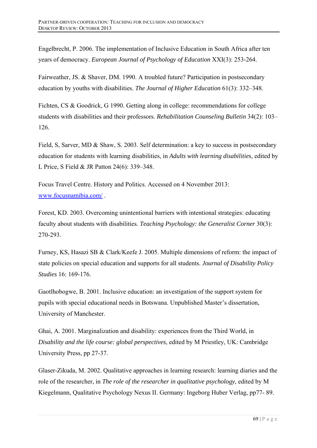Engelbrecht, P. 2006. The implementation of Inclusive Education in South Africa after ten years of democracy. *European Journal of Psychology of Education* XXI(3): 253-264.

Fairweather, JS. & Shaver, DM. 1990. A troubled future? Participation in postsecondary education by youths with disabilities. *The Journal of Higher Education* 61(3): 332–348.

Fichten, CS & Goodrick, G 1990. Getting along in college: recommendations for college students with disabilities and their professors. *Rehabilitation Counseling Bulletin* 34(2): 103– 126.

Field, S, Sarver, MD & Shaw, S. 2003. Self determination: a key to success in postsecondary education for students with learning disabilities, in *Adults with learning disabilities,* edited by L Price, S Field & JR Patton 24(6): 339–348.

Focus Travel Centre. History and Politics. Accessed on 4 November 2013: www.focusnamibia.com/ .

Forest, KD. 2003. Overcoming unintentional barriers with intentional strategies: educating faculty about students with disabilities. *Teaching Psychology: the Generalist Corner* 30(3): 270-293.

Furney, KS, Hasazi SB & Clark/Keefe J. 2005. Multiple dimensions of reform: the impact of state policies on special education and supports for all students. *Journal of Disability Policy Studies* 16: 169-176.

Gaotlhobogwe, B. 2001. Inclusive education: an investigation of the support system for pupils with special educational needs in Botswana. Unpublished Master's dissertation, University of Manchester.

Ghai, A. 2001. Marginalization and disability: experiences from the Third World, in *Disability and the life course: global perspectives*, edited by M Priestley, UK: Cambridge University Press, pp 27-37.

Glaser-Zikuda, M. 2002. Qualitative approaches in learning research: learning diaries and the role of the researcher, in *The role of the researcher in qualitative psychology*, edited by M Kiegelmann, Qualitative Psychology Nexus II. Germany: Ingeborg Huber Verlag, pp77- 89.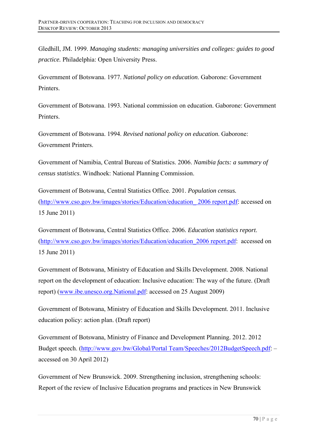Gledhill, JM. 1999. *Managing students: managing universities and colleges: guides to good practice.* Philadelphia: Open University Press.

Government of Botswana. 1977. *National policy on education*. Gaborone: Government Printers.

Government of Botswana. 1993. National commission on education. Gaborone: Government **Printers** 

Government of Botswana. 1994. *Revised national policy on education*. Gaborone: Government Printers.

Government of Namibia, Central Bureau of Statistics. 2006. *Namibia facts: a summary of census statistics*. Windhoek: National Planning Commission.

Government of Botswana, Central Statistics Office. 2001. *Population census.* (http://www.cso.gov.bw/images/stories/Education/education\_ 2006 report.pdf: accessed on 15 June 2011)

Government of Botswana, Central Statistics Office. 2006*. Education statistics report*. (http://www.cso.gov.bw/images/stories/Education/education\_2006 report.pdf: accessed on 15 June 2011)

Government of Botswana, Ministry of Education and Skills Development. 2008. National report on the development of education: Inclusive education: The way of the future. (Draft report) (www.ibe.unesco.org.National.pdf: accessed on 25 August 2009)

Government of Botswana, Ministry of Education and Skills Development. 2011. Inclusive education policy: action plan. (Draft report)

Government of Botswana, Ministry of Finance and Development Planning. 2012. 2012 Budget speech. (http://www.gov.bw/Global/Portal Team/Speeches/2012BudgetSpeech.pdf: – accessed on 30 April 2012)

Government of New Brunswick. 2009. Strengthening inclusion, strengthening schools: Report of the review of Inclusive Education programs and practices in New Brunswick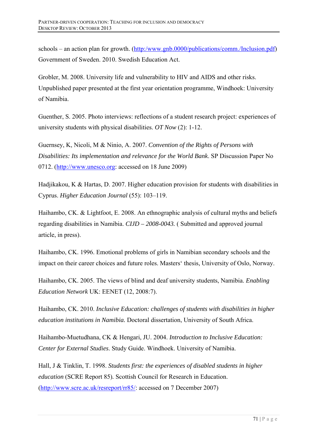schools – an action plan for growth. (http:/www.gnb.0000/publications/comm./Inclusion.pdf) Government of Sweden. 2010. Swedish Education Act.

Grobler, M. 2008. University life and vulnerability to HIV and AIDS and other risks. Unpublished paper presented at the first year orientation programme, Windhoek: University of Namibia.

Guenther, S. 2005. Photo interviews: reflections of a student research project: experiences of university students with physical disabilities. *OT Now* (2): 1-12.

Guernsey, K, Nicoli, M & Ninio, A. 2007. *Convention of the Rights of Persons with Disabilities: Its implementation and relevance for the World Bank*. SP Discussion Paper No 0712. (http://www.unesco.org: accessed on 18 June 2009)

Hadjikakou, K & Hartas, D. 2007. Higher education provision for students with disabilities in Cyprus. *Higher Education Journal* (55): 103–119.

Haihambo, CK. & Lightfoot, E. 2008. An ethnographic analysis of cultural myths and beliefs regarding disabilities in Namibia. *CIJD – 2008-0043.* ( Submitted and approved journal article, in press).

Haihambo, CK. 1996. Emotional problems of girls in Namibian secondary schools and the impact on their career choices and future roles. Masters' thesis, University of Oslo, Norway.

Haihambo, CK. 2005. The views of blind and deaf university students, Namibia. *Enabling Education Network* UK: EENET (12, 2008:7).

Haihambo, CK. 2010. *Inclusive Education: challenges of students with disabilities in higher education institutions in Namibia.* Doctoral dissertation, University of South Africa.

Haihambo-Muetudhana, CK & Hengari, JU. 2004. *Introduction to Inclusive Education: Center for External Studies*. Study Guide. Windhoek. University of Namibia.

Hall, J & Tinklin, T. 1998. *Students first: the experiences of disabled students in higher education* (SCRE Report 85)*.* Scottish Council for Research in Education. (http://www.scre.ac.uk/resreport/rr85/: accessed on 7 December 2007)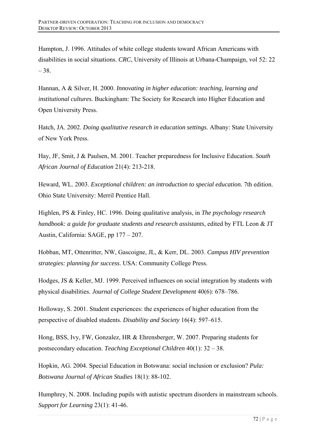Hampton, J. 1996. Attitudes of white college students toward African Americans with disabilities in social situations. *CRC*, University of Illinois at Urbana-Champaign, vol 52: 22 – 38.

Hannan, A & Silver, H. 2000. *Innovating in higher education: teaching, learning and institutional cultures.* Buckingham: The Society for Research into Higher Education and Open University Press.

Hatch, JA. 2002. *Doing qualitative research in education settings*. Albany: State University of New York Press.

Hay, JF, Smit, J & Paulsen, M. 2001. Teacher preparedness for Inclusive Education. *South African Journal of Education* 21(4): 213-218.

Heward, WL. 2003. *Exceptional children: an introduction to special education.* 7th edition. Ohio State University: Merril Prentice Hall.

Highlen, PS & Finley, HC. 1996. Doing qualitative analysis, in *The psychology research handbook: a guide for graduate students and research assistants*, edited by FTL Leon & JT Austin, California: SAGE, pp 177 – 207.

Hobban, MT, Ottenritter, NW, Gascoigne, JL, & Kerr, DL. 2003. *Campus HIV prevention strategies: planning for success*. USA: Community College Press.

Hodges, JS & Keller, MJ. 1999. Perceived influences on social integration by students with physical disabilities. *Journal of College Student Development* 40(6): 678–786.

Holloway, S. 2001. Student experiences: the experiences of higher education from the perspective of disabled students. *Disability and Society* 16(4): 597–615.

Hong, BSS, Ivy, FW, Gonzalez, HR & Ehrensberger, W. 2007. Preparing students for postsecondary education. *Teaching Exceptional Children* 40(1): 32 – 38.

Hopkin, AG. 2004. Special Education in Botswana: social inclusion or exclusion? *Pula: Botswana Journal of African Studies* 18(1): 88-102.

Humphrey, N. 2008. Including pupils with autistic spectrum disorders in mainstream schools. *Support for Learning* 23(1): 41-46.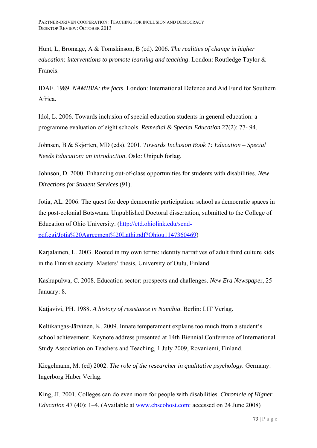Hunt, L, Bromage, A & Tomskinson, B (ed). 2006. *The realities of change in higher education: interventions to promote learning and teaching*. London: Routledge Taylor & Francis.

IDAF. 1989. *NAMIBIA: the facts*. London: International Defence and Aid Fund for Southern Africa.

Idol, L. 2006. Towards inclusion of special education students in general education: a programme evaluation of eight schools. *Remedial & Special Education* 27(2): 77- 94.

Johnsen, B & Skjørten, MD (eds). 2001. *Towards Inclusion Book 1: Education – Special Needs Education: an introduction*. Oslo: Unipub forlag.

Johnson, D. 2000. Enhancing out-of-class opportunities for students with disabilities. *New Directions for Student Services* (91).

Jotia, AL. 2006. The quest for deep democratic participation: school as democratic spaces in the post-colonial Botswana. Unpublished Doctoral dissertation, submitted to the College of Education of Ohio University. (http://etd.ohiolink.edu/sendpdf.cgi/Jotia%20Agreement%20Lathi.pdf?Ohiou1147360469)

Karjalainen, L. 2003. Rooted in my own terms: identity narratives of adult third culture kids in the Finnish society. Masters' thesis, University of Oulu, Finland.

Kashupulwa, C. 2008. Education sector: prospects and challenges. *New Era Newspape*r, 25 January: 8.

Katjavivi, PH. 1988. *A history of resistance in Namibia*. Berlin: LIT Verlag.

Keltikangas-Järvinen, K. 2009. Innate temperament explains too much from a student's school achievement. Keynote address presented at 14th Biennial Conference of International Study Association on Teachers and Teaching, 1 July 2009, Rovaniemi, Finland.

Kiegelmann, M. (ed) 2002. *The role of the researcher in qualitative psychology.* Germany: Ingerborg Huber Verlag.

King, JI. 2001. Colleges can do even more for people with disabilities. *Chronicle of Higher Education* 47 (40): 1–4. (Available at www.ebscohost.com: accessed on 24 June 2008)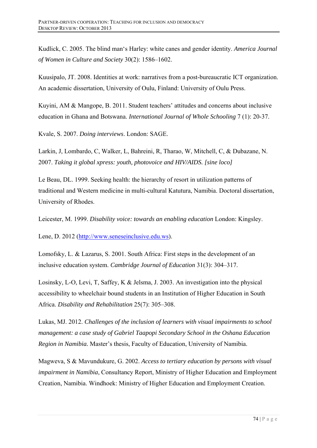Kudlick, C. 2005. The blind man's Harley: white canes and gender identity. *America Journal of Women in Culture and Society* 30(2): 1586–1602.

Kuusipalo, JT. 2008. Identities at work: narratives from a post-bureaucratic ICT organization. An academic dissertation, University of Oulu, Finland: University of Oulu Press.

Kuyini, AM & Mangope, B. 2011. Student teachers' attitudes and concerns about inclusive education in Ghana and Botswana. *International Journal of Whole Schooling* 7 (1): 20-37.

Kvale, S. 2007. *Doing interviews*. London: SAGE.

Larkin, J, Lombardo, C, Walker, L, Bahreini, R, Tharao, W, Mitchell, C, & Dubazane, N. 2007. *Taking it global xpress: youth, photovoice and HIV/AIDS. [sine loco]* 

Le Beau, DL. 1999. Seeking health: the hierarchy of resort in utilization patterns of traditional and Western medicine in multi-cultural Katutura, Namibia. Doctoral dissertation, University of Rhodes.

Leicester, M. 1999. *Disability voice: towards an enabling education* London: Kingsley.

Lene, D. 2012 (http://www.seneseinclusive.edu.ws).

Lomofsky, L. & Lazarus, S. 2001. South Africa: First steps in the development of an inclusive education system. *Cambridge Journal of Education* 31(3): 304–317.

Losinsky, L-O, Levi, T, Saffey, K & Jelsma, J. 2003. An investigation into the physical accessibility to wheelchair bound students in an Institution of Higher Education in South Africa. *Disability and Rehabilitation* 25(7): 305–308.

Lukas, MJ. 2012. *Challenges of the inclusion of learners with visual impairments to school management: a case study of Gabriel Taapopi Secondary School in the Oshana Education Region in Namibia.* Master's thesis, Faculty of Education, University of Namibia.

Magweva, S & Mavundukure, G. 2002. *Access to tertiary education by persons with visual impairment in Namibia*, Consultancy Report, Ministry of Higher Education and Employment Creation, Namibia. Windhoek: Ministry of Higher Education and Employment Creation.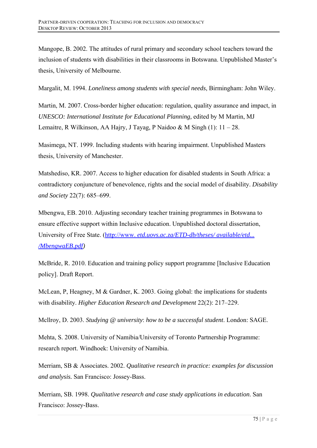Mangope, B. 2002. The attitudes of rural primary and secondary school teachers toward the inclusion of students with disabilities in their classrooms in Botswana. Unpublished Master's thesis, University of Melbourne.

Margalit, M. 1994. *Loneliness among students with special needs*, Birmingham: John Wiley.

Martin, M. 2007. Cross-border higher education: regulation, quality assurance and impact, in *UNESCO: International Institute for Educational Planning,* edited by M Martin, MJ Lemaitre, R Wilkinson, AA Hajry, J Tayag, P Naidoo  $\&$  M Singh (1):  $11 - 28$ .

Masimega, NT. 1999. Including students with hearing impairment. Unpublished Masters thesis, University of Manchester.

Matshediso, KR. 2007. Access to higher education for disabled students in South Africa: a contradictory conjuncture of benevolence, rights and the social model of disability. *Disability and Society* 22(7): 685–699.

Mbengwa, EB. 2010. Adjusting secondary teacher training programmes in Botswana to ensure effective support within Inclusive education. Unpublished doctoral dissertation, University of Free State. (http://www. *etd.uovs.ac.za/ETD-db/theses/ available/etd... /MbengwaEB.pdf)* 

McBride, R. 2010. Education and training policy support programme [Inclusive Education policy]. Draft Report.

McLean, P, Heagney, M & Gardner, K. 2003. Going global: the implications for students with disability. *Higher Education Research and Development* 22(2): 217–229.

Mcllroy, D. 2003. *Studying @ university*: *how to be a successful student*. London: SAGE.

Mehta, S. 2008. University of Namibia/University of Toronto Partnership Programme: research report. Windhoek: University of Namibia.

Merriam, SB & Associates. 2002. *Qualitative research in practice: examples for discussion and analysis.* San Francisco: Jossey-Bass.

Merriam, SB. 1998. *Qualitative research and case study applications in education*. San Francisco: Jossey-Bass.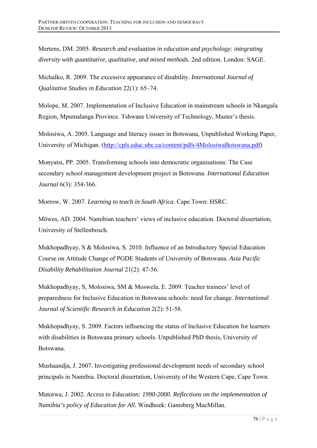Mertens, DM. 2005. *Research and evaluation in education and psychology: integrating diversity with quantitative, qualitative, and mixed methods*. 2nd edition. London: SAGE.

Michalko, R. 2009. The excessive appearance of disability. *International Journal of Qualitative Studies in Education* 22(1): 65–74.

Molope, M. 2007. Implementation of Inclusive Education in mainstream schools in Nkangala Region, Mpumalanga Province. Tshwane University of Technology, Master's thesis.

Molosiwa, A. 2005. Language and literacy issues in Botswana, Unpublished Working Paper, University of Michigan. (http://cpls.educ.ubc.ca/content/pdfs/4MolosiwaBotswana.pdf)

Monyatsi, PP. 2005. Transforming schools into democratic organisations: The Case secondary school management development project in Botswana. *International Education Journal* 6(3): 354-366.

Morrow, W. 2007. *Learning to teach in South Africa*. Cape Town: HSRC.

Möwes, AD. 2004. Namibian teachers' views of inclusive education. Doctoral dissertation, University of Stellenbosch.

Mukhopadhyay, S & Molosiwa, S. 2010. Influence of an Introductory Special Education Course on Attitude Change of PGDE Students of University of Botswana. *Asia Pacific Disability Rehabilitation Journal* 21(2): 47-56.

Mukhopadhyay, S, Molosiwa, SM & Moswela, E. 2009. Teacher trainees' level of preparedness for Inclusive Education in Botswana schools: need for change. *International Journal of Scientific Research in Education* 2(2): 51-58.

Mukhopadhyay, S. 2009. Factors influencing the status of Inclusive Education for learners with disabilities in Botswana primary schools. Unpublished PhD thesis, University of Botswana.

Mushaandja, J. 2007. Investigating professional development needs of secondary school principals in Namibia. Doctoral dissertation, University of the Western Cape, Cape Town.

Mutorwa, J. 2002. *Access to Education: 1990-2000. Reflections on the implementation of Namibia's policy of Education for All.* Windhoek: Gamsberg MacMillan.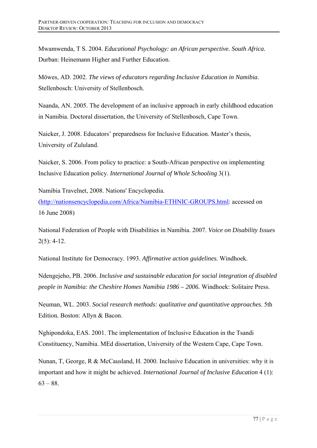Mwamwenda, T S. 2004. *Educational Psychology: an African perspective. South Africa.*  Durban: Heinemann Higher and Further Education.

Mӧwes, AD. 2002. *The views of educators regarding Inclusive Education in Namibia*. Stellenbosch: University of Stellenbosch.

Naanda, AN. 2005. The development of an inclusive approach in early childhood education in Namibia. Doctoral dissertation, the University of Stellenbosch, Cape Town.

Naicker, J. 2008. Educators' preparedness for Inclusive Education. Master's thesis, University of Zululand.

Naicker, S. 2006. From policy to practice: a South-African perspective on implementing Inclusive Education policy. *International Journal of Whole Schooling* 3(1).

Namibia Travelnet, 2008. Nations' Encyclopedia.

(http://nationsencyclopedia.com/Africa/Namibia-ETHNIC-GROUPS.html: accessed on 16 June 2008)

National Federation of People with Disabilities in Namibia. 2007. *Voice on Disability Issue*s 2(5): 4-12.

National Institute for Democracy. 1993. *Affirmative action guidelines.* Windhoek.

Ndengejeho, PB. 2006. *Inclusive and sustainable education for social integration of disabled people in Namibia: the Cheshire Homes Namibia 1986 – 2006.* Windhoek: Solitaire Press.

Neuman, WL. 2003. *Social research methods: qualitative and quantitative approaches*. 5th Edition*.* Boston: Allyn & Bacon.

Nghipondoka, EAS. 2001. The implementation of Inclusive Education in the Tsandi Constituency, Namibia. MEd dissertation, University of the Western Cape, Cape Town.

Nunan, T, George, R & McCausland, H. 2000. Inclusive Education in universities: why it is important and how it might be achieved. *International Journal of Inclusive Education* 4 (1):  $63 - 88.$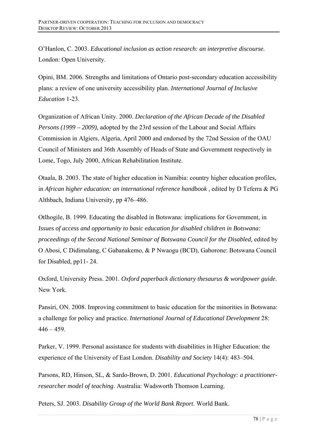O'Hanlon, C. 2003. *Educational inclusion as action research: an interpretive discourse.* London: Open University.

Opini, BM. 2006. Strengths and limitations of Ontario post-secondary education accessibility plans: a review of one university accessibility plan. *International Journal of Inclusive Education* 1-23.

Organization of African Unity. 2000. *Declaration of the African Decade of the Disabled Persons (1999 – 2009),* adopted by the 23rd session of the Labour and Social Affairs Commission in Algiers, Algeria, April 2000 and endorsed by the 72nd Session of the OAU Council of Ministers and 36th Assembly of Heads of State and Government respectively in Lome, Togo, July 2000, African Rehabilitation Institute.

Otaala, B. 2003. The state of higher education in Namibia: country higher education profiles, in *African higher education: an international reference handbook* , edited by D Teferra & PG Althbach, Indiana University, pp 476–486.

Otlhogile, B. 1999. Educating the disabled in Botswana: implications for Government, in *Issues of access and opportunity to basic education for disabled children in Botswana: proceedings of the Second National Seminar of Botswana Council for the Disabled,* edited by O Abosi, C Didimalang, C Gabanakemo, & P Nwaogu (BCD), Gaborone: Botswana Council for Disabled, pp11- 24.

Oxford, University Press. 2001. *Oxford paperback dictionary thesaurus & wordpower guide*. New York.

Pansiri, ON. 2008. Improving commitment to basic education for the minorities in Botswana: a challenge for policy and practice. *International Journal of Educational Development* 28:  $446 - 459$ .

Parker, V. 1999. Personal assistance for students with disabilities in Higher Education: the experience of the University of East London. *Disability and Society* 14(4): 483–504.

Parsons, RD, Hinson, SL, & Sardo-Brown, D. 2001. *Educational Psychology: a practitionerresearcher model of teaching*. Australia: Wadsworth Thomson Learning.

Peters, SJ. 2003. *Disability Group of the World Bank Report*. World Bank.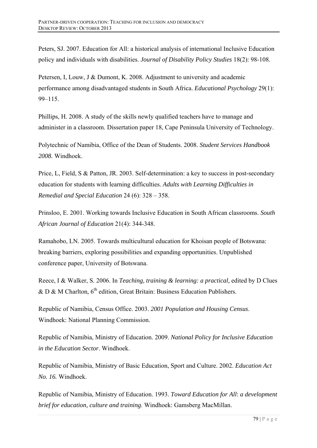Peters, SJ. 2007. Education for All: a historical analysis of international Inclusive Education policy and individuals with disabilities. *Journal of Disability Policy Studies* 18(2): 98-108.

Petersen, I, Louw, J & Dumont, K. 2008. Adjustment to university and academic performance among disadvantaged students in South Africa. *Educational Psychology* 29(1): 99–115.

Phillips, H. 2008. A study of the skills newly qualified teachers have to manage and administer in a classroom. Dissertation paper 18, Cape Peninsula University of Technology.

Polytechnic of Namibia, Office of the Dean of Students. 2008. *Student Services Handbook 2008.* Windhoek.

Price, L, Field, S & Patton, JR. 2003. Self-determination: a key to success in post-secondary education for students with learning difficulties. *Adults with Learning Difficulties in Remedial and Special Education* 24 (6): 328 – 358.

Prinsloo, E. 2001. Working towards Inclusive Education in South African classrooms. *South African Journal of Education* 21(4): 344-348.

Ramahobo, LN. 2005. Towards multicultural education for Khoisan people of Botswana: breaking barriers, exploring possibilities and expanding opportunities. Unpublished conference paper, University of Botswana.

Reece, I & Walker, S. 2006. In *Teaching, training & learning: a practical,* edited by D Clues & D & M Charlton*,* 6th edition, Great Britain: Business Education Publishers.

Republic of Namibia, Census Office. 2003. *2001 Population and Housing Census*. Windhoek: National Planning Commission.

Republic of Namibia, Ministry of Education. 2009. *National Policy for Inclusive Education in the Education Sector*. Windhoek.

Republic of Namibia, Ministry of Basic Education, Sport and Culture. 2002. *Education Act No. 16.* Windhoek.

Republic of Namibia, Ministry of Education. 1993. *Toward Education for All*: *a development brief for education, culture and training*. Windhoek: Gamsberg MacMillan.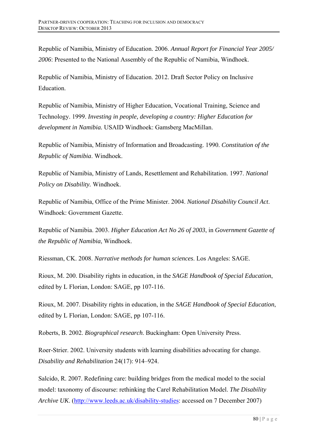Republic of Namibia, Ministry of Education. 2006. *Annual Report for Financial Year 2005/ 2006*: Presented to the National Assembly of the Republic of Namibia, Windhoek.

Republic of Namibia, Ministry of Education. 2012. Draft Sector Policy on Inclusive Education.

Republic of Namibia, Ministry of Higher Education, Vocational Training, Science and Technology. 1999. *Investing in people, developing a country: Higher Education for development in Namibia.* USAID Windhoek: Gamsberg MacMillan.

Republic of Namibia, Ministry of Information and Broadcasting. 1990. *Constitution of the Republic of Namibia*. Windhoek.

Republic of Namibia, Ministry of Lands, Resettlement and Rehabilitation. 1997. *National Policy on Disability.* Windhoek.

Republic of Namibia, Office of the Prime Minister. 2004. *National Disability Council Act*. Windhoek: Government Gazette.

Republic of Namibia. 2003. *Higher Education Act No 26 of 2003*, in *Government Gazette of the Republic of Namibia*, Windhoek.

Riessman, CK. 2008. *Narrative methods for human sciences*. Los Angeles: SAGE.

Rioux, M. 200. Disability rights in education, in the *SAGE Handbook of Special Education*, edited by L Florian, London: SAGE, pp 107-116.

Rioux, M. 2007. Disability rights in education, in the *SAGE Handbook of Special Education*, edited by L Florian, London: SAGE, pp 107-116.

Roberts, B. 2002. *Biographical research*. Buckingham: Open University Press.

Roer-Strier. 2002. University students with learning disabilities advocating for change. *Disability and Rehabilitation* 24(17): 914–924.

Salcido, R. 2007. Redefining care: building bridges from the medical model to the social model: taxonomy of discourse: rethinking the Careǁ Rehabilitation Model. *The Disability Archive UK*. (http://www.leeds.ac.uk/disability-studies: accessed on 7 December 2007)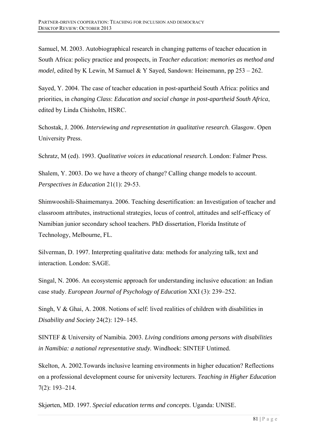Samuel, M. 2003. Autobiographical research in changing patterns of teacher education in South Africa: policy practice and prospects, in *Teacher education: memories as method and model,* edited by K Lewin, M Samuel & Y Sayed, Sandown: Heinemann, pp 253 – 262.

Sayed, Y. 2004. The case of teacher education in post-apartheid South Africa: politics and priorities, in *changing Class*: *Education and social change in post-apartheid South Africa*, edited by Linda Chisholm, HSRC.

Schostak, J. 2006. *Interviewing and representation in qualitative research*. Glasgow. Open University Press.

Schratz, M (ed). 1993. *Qualitative voices in educational research*. London: Falmer Press.

Shalem, Y. 2003. Do we have a theory of change? Calling change models to account. *Perspectives in Education* 21(1): 29-53.

Shimwooshili-Shaimemanya. 2006. Teaching desertification: an Investigation of teacher and classroom attributes, instructional strategies, locus of control, attitudes and self-efficacy of Namibian junior secondary school teachers. PhD dissertation, Florida Institute of Technology, Melbourne, FL.

Silverman, D. 1997. Interpreting qualitative data: methods for analyzing talk, text and interaction. London: SAGE.

Singal, N. 2006. An ecosystemic approach for understanding inclusive education: an Indian case study. *European Journal of Psychology of Education* XXI (3): 239–252.

Singh, V & Ghai, A. 2008. Notions of self: lived realities of children with disabilities in *Disability and Society* 24(2): 129–145.

SINTEF & University of Namibia. 2003. *Living conditions among persons with disabilities in Namibia: a national representative study.* Windhoek: SINTEF Untimed.

Skelton, A. 2002.Towards inclusive learning environments in higher education? Reflections on a professional development course for university lecturers. *Teaching in Higher Education*  7(2): 193–214.

Skjørten, MD. 1997. *Special education terms and concepts*. Uganda: UNISE.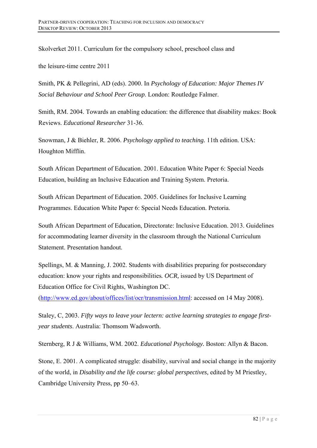Skolverket 2011. Curriculum for the compulsory school, preschool class and

the leisure-time centre 2011

Smith, PK & Pellegrini, AD (eds). 2000. In *Psychology of Education: Major Themes IV Social Behaviour and School Peer Group*. London: Routledge Falmer.

Smith, RM. 2004. Towards an enabling education: the difference that disability makes: Book Reviews. *Educational Researcher* 31-36.

Snowman, J & Biehler, R. 2006. *Psychology applied to teaching.* 11th edition. USA: Houghton Mifflin.

South African Department of Education. 2001. Education White Paper 6: Special Needs Education, building an Inclusive Education and Training System. Pretoria.

South African Department of Education. 2005. Guidelines for Inclusive Learning Programmes. Education White Paper 6: Special Needs Education. Pretoria.

South African Department of Education, Directorate: Inclusive Education. 2013. Guidelines for accommodating learner diversity in the classroom through the National Curriculum Statement. Presentation handout.

Spellings, M. & Manning, J. 2002. Students with disabilities preparing for postsecondary education: know your rights and responsibilities*. OCR,* issued by US Department of Education Office for Civil Rights, Washington DC.

(http://www.ed.gov/about/offices/list/ocr/transmission.html: accessed on 14 May 2008).

Staley, C, 2003. *Fifty ways to leave your lectern: active learning strategies to engage firstyear students*. Australia: Thomsom Wadsworth.

Sternberg, R J & Williams, WM. 2002. *Educational Psychology.* Boston: Allyn & Bacon.

Stone, E. 2001. A complicated struggle: disability, survival and social change in the majority of the world, in *Disability and the life course: global perspectives,* edited by M Priestley, Cambridge University Press, pp 50–63.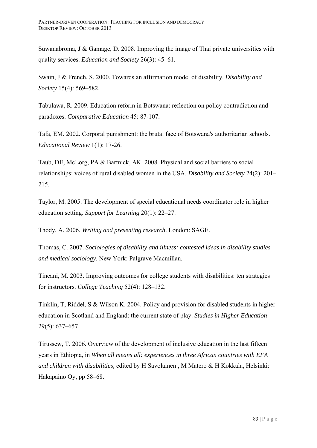Suwanabroma, J & Gamage, D. 2008. Improving the image of Thai private universities with quality services. *Education and Society* 26(3): 45–61.

Swain, J & French, S. 2000. Towards an affirmation model of disability. *Disability and Society* 15(4): 569–582.

Tabulawa, R. 2009. Education reform in Botswana: reflection on policy contradiction and paradoxes. *Comparative Education* 45: 87-107.

Tafa, EM. 2002. Corporal punishment: the brutal face of Botswana's authoritarian schools. *Educational Review* 1(1): 17-26.

Taub, DE, McLorg, PA & Bartnick, AK. 2008. Physical and social barriers to social relationships: voices of rural disabled women in the USA. *Disability and Society* 24(2): 201– 215.

Taylor, M. 2005. The development of special educational needs coordinator role in higher education setting. *Support for Learning* 20(1): 22–27.

Thody, A. 2006. *Writing and presenting research*. London: SAGE.

Thomas, C. 2007. *Sociologies of disability and illness: contested ideas in disability studies and medical sociology*. New York: Palgrave Macmillan.

Tincani, M. 2003. Improving outcomes for college students with disabilities: ten strategies for instructors. *College Teaching* 52(4): 128–132.

Tinklin, T, Riddel, S & Wilson K. 2004. Policy and provision for disabled students in higher education in Scotland and England: the current state of play. *Studies in Higher Education*  29(5): 637–657.

Tirussew, T. 2006*.* Overview of the development of inclusive education in the last fifteen years in Ethiopia, in *When all means all: experiences in three African countries with EFA and children with disabilities,* edited by H Savolainen , M Matero & H Kokkala, Helsinki: Hakapaino Oy, pp 58–68.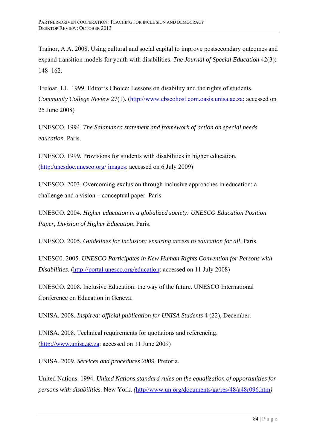Trainor, A.A. 2008. Using cultural and social capital to improve postsecondary outcomes and expand transition models for youth with disabilities. *The Journal of Special Education* 42(3): 148–162.

Treloar, LL. 1999. Editor's Choice: Lessons on disability and the rights of students. *Community College Review* 27(1). (http://www.ebscohost.com.oasis.unisa.ac.za: accessed on 25 June 2008)

UNESCO. 1994. *The Salamanca statement and framework of action on special needs education*. Paris.

UNESCO. 1999. Provisions for students with disabilities in higher education. (http:/unesdoc.unesco.org/ images: accessed on 6 July 2009)

UNESCO. 2003. Overcoming exclusion through inclusive approaches in education: a challenge and a vision – conceptual paper. Paris.

UNESCO. 2004. *Higher education in a globalized society: UNESCO Education Position Paper, Division of Higher Education*. Paris.

UNESCO. 2005. *Guidelines for inclusion: ensuring access to education for all*. Paris.

UNESC0. 2005*. UNESCO Participates in New Human Rights Convention for Persons with Disabilities*. (http://portal.unesco.org/education: accessed on 11 July 2008)

UNESCO. 2008. Inclusive Education: the way of the future. UNESCO International Conference on Education in Geneva.

UNISA. 2008. *Inspired: official publication for UNISA Students* 4 (22), December.

UNISA. 2008. Technical requirements for quotations and referencing. (http://www.unisa.ac.za: accessed on 11 June 2009)

UNISA. 2009. *Services and procedures 2009.* Pretoria.

United Nations. 1994. *United Nations standard rules on the equalization of opportunities for persons with disabilities.* New York. *(*http//www.un.org/documents/ga/res/48/a48r096.htm*)*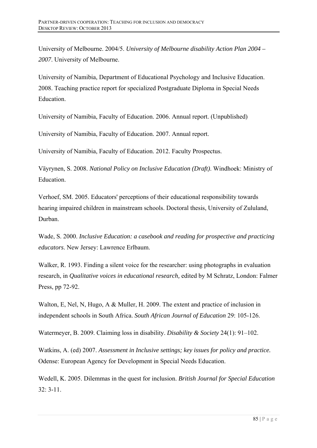University of Melbourne. 2004/5. *University of Melbourne disability Action Plan 2004 – 2007*. University of Melbourne.

University of Namibia, Department of Educational Psychology and Inclusive Education. 2008. Teaching practice report for specialized Postgraduate Diploma in Special Needs Education.

University of Namibia, Faculty of Education. 2006. Annual report. (Unpublished)

University of Namibia, Faculty of Education. 2007. Annual report.

University of Namibia, Faculty of Education. 2012. Faculty Prospectus.

Väyrynen, S. 2008. *National Policy on Inclusive Education (Draft)*. Windhoek: Ministry of Education.

Verhoef, SM. 2005. Educators' perceptions of their educational responsibility towards hearing impaired children in mainstream schools. Doctoral thesis, University of Zululand, Durban.

Wade, S. 2000. *Inclusive Education: a casebook and reading for prospective and practicing educators*. New Jersey: Lawrence Erlbaum.

Walker, R. 1993. Finding a silent voice for the researcher: using photographs in evaluation research, in *Qualitative voices in educational research,* edited by M Schratz, London: Falmer Press, pp 72-92.

Walton, E, Nel, N, Hugo, A & Muller, H. 2009. The extent and practice of inclusion in independent schools in South Africa. *South African Journal of Education* 29: 105-126.

Watermeyer, B. 2009. Claiming loss in disability. *Disability & Society* 24(1): 91–102.

Watkins, A. (ed) 2007. *Assessment in Inclusive settings; key issues for policy and practice.* Odense: European Agency for Development in Special Needs Education.

Wedell, K. 2005. Dilemmas in the quest for inclusion. *British Journal for Special Education*   $32: 3-11$ .